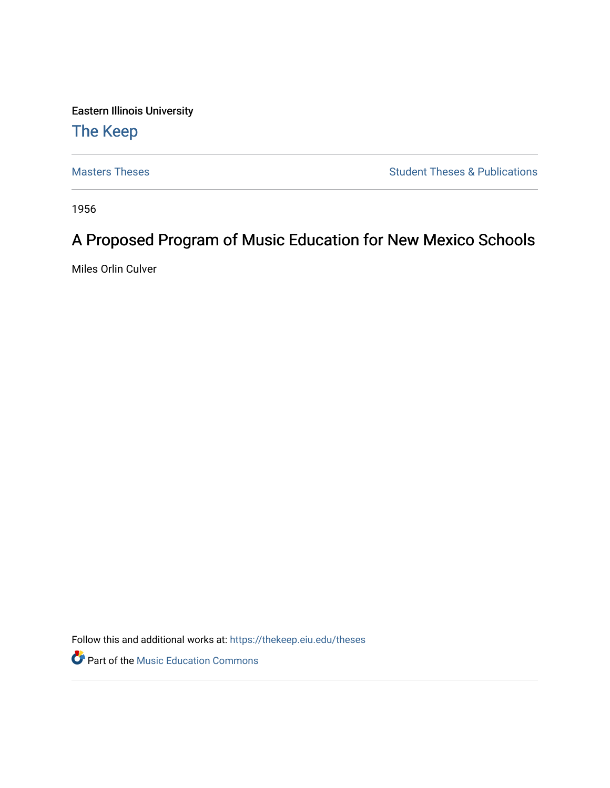Eastern Illinois University

# [The Keep](https://thekeep.eiu.edu/)

[Masters Theses](https://thekeep.eiu.edu/theses) **Student Theses & Publications** Student Theses & Publications

1956

# A Proposed Program of Music Education for New Mexico Schools

Miles Orlin Culver

Follow this and additional works at: [https://thekeep.eiu.edu/theses](https://thekeep.eiu.edu/theses?utm_source=thekeep.eiu.edu%2Ftheses%2F4705&utm_medium=PDF&utm_campaign=PDFCoverPages)

**P** Part of the Music Education Commons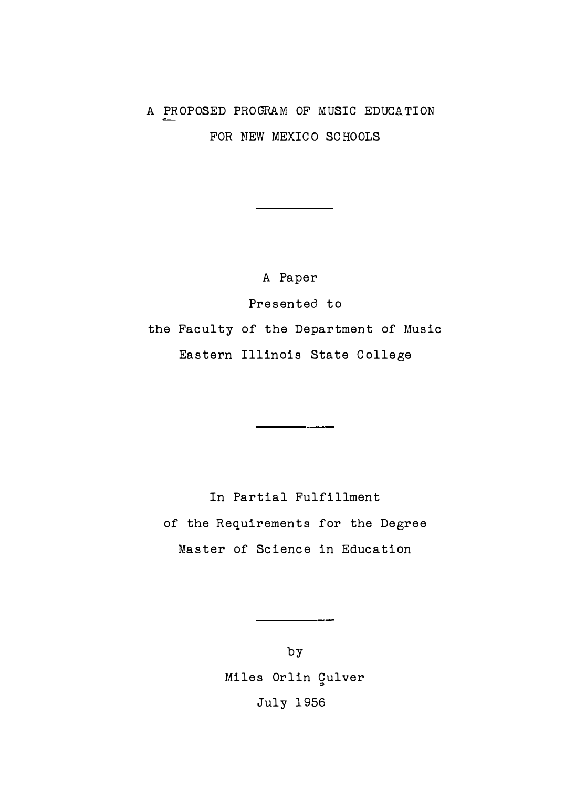# A PROPOSED PROGRAM OF MUSIC EDUCATION FOR NEW MEXICO SCHOOLS

A Paper Presented to the Faculty of the Department of Music Eastern Illinois State College

In Partial Fulfillment of the Requirements for the Degree Master of Science in Education

k.

by Miles Orlin Çulver July 1956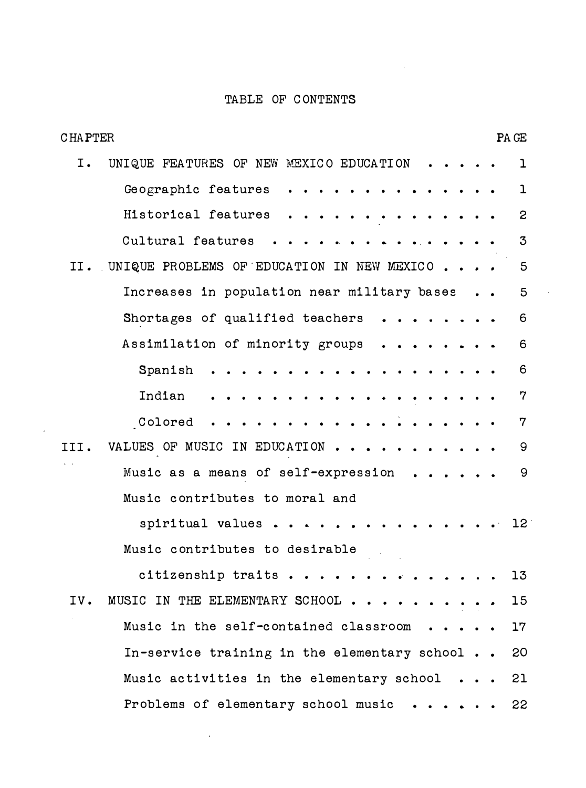# TABLE OF C ONTENTS

 $\ddot{\phantom{a}}$ 

| <b>CHAPTER</b> |                                                                                   |  | PA GE           |
|----------------|-----------------------------------------------------------------------------------|--|-----------------|
| I.             | UNIQUE FEATURES OF NEW MEXICO EDUCATION                                           |  | $\mathbf{1}$    |
|                | Geographic features                                                               |  | $\mathbf{1}$    |
|                | Historical features                                                               |  | $\mathbf{c}$    |
|                | Cultural features                                                                 |  | 3               |
| II.            | UNIQUE PROBLEMS OF EDUCATION IN NEW MEXICO                                        |  | $5\phantom{.0}$ |
|                | Increases in population near military bases                                       |  | $5\phantom{.0}$ |
|                | Shortages of qualified teachers                                                   |  | 6               |
|                | Assimilation of minority groups                                                   |  | 6               |
|                | Spanish                                                                           |  | 6               |
|                | Indian                                                                            |  | 7               |
|                | Colored                                                                           |  | 7               |
| III.           | VALUES OF MUSIC IN EDUCATION                                                      |  | 9               |
|                | Music as a means of self-expression<br>$\mathbf{r}$ , $\mathbf{r}$ , $\mathbf{r}$ |  | 9               |
|                | Music contributes to moral and                                                    |  |                 |
|                | .<br>spiritual values.                                                            |  | 12              |
|                | Music contributes to desirable                                                    |  |                 |
|                | citizenship traits                                                                |  | 13              |
| IV.            | MUSIC IN THE ELEMENTARY SCHOOL.                                                   |  | 15              |
|                | Music in the self-contained classroom                                             |  | $17\,$          |
|                | In-service training in the elementary school                                      |  | 20              |
|                | Music activities in the elementary school                                         |  | 21              |
|                | Problems of elementary school music                                               |  | 22              |

l,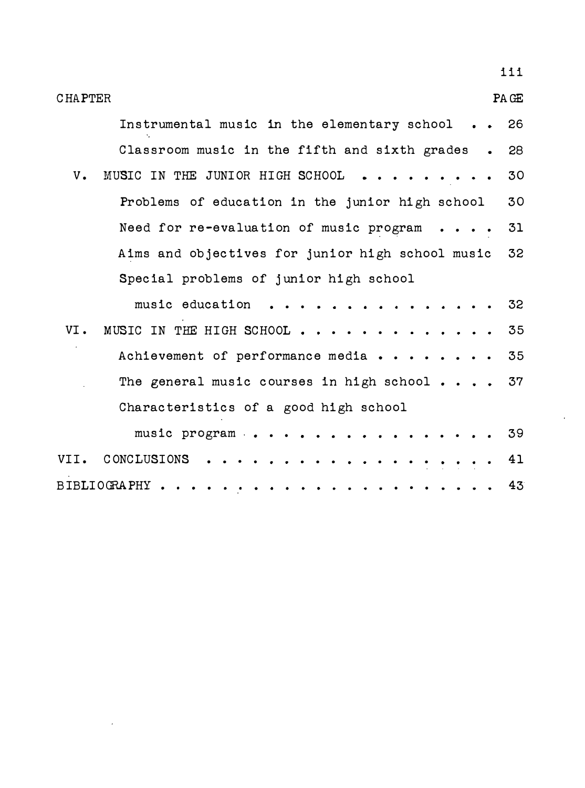| 111                                                       |
|-----------------------------------------------------------|
| PA GE<br><b>CHAPTER</b>                                   |
| Instrumental music in the elementary school<br>26         |
| Classroom music in the fifth and sixth grades<br>28       |
| MUSIC IN THE JUNIOR HIGH SCHOOL<br>$V_{\bullet}$<br>30    |
| Problems of education in the junior high school<br>30     |
| 31<br>Need for re-evaluation of music program             |
| 32<br>Aims and objectives for junior high school music    |
| Special problems of junior high school                    |
| music education<br>32                                     |
| VI.<br>MUSIC IN THE HIGH SCHOOL<br>35                     |
| 35<br>Achievement of performance media                    |
| The general music courses in high school $\cdots$ 37      |
| Characteristics of a good high school                     |
| 39<br>music program $\cdot \cdot \cdot \cdot \cdot \cdot$ |
| CONCLUSIONS<br>41<br>VII.                                 |
| BIBLIOGRAPHY.<br>43                                       |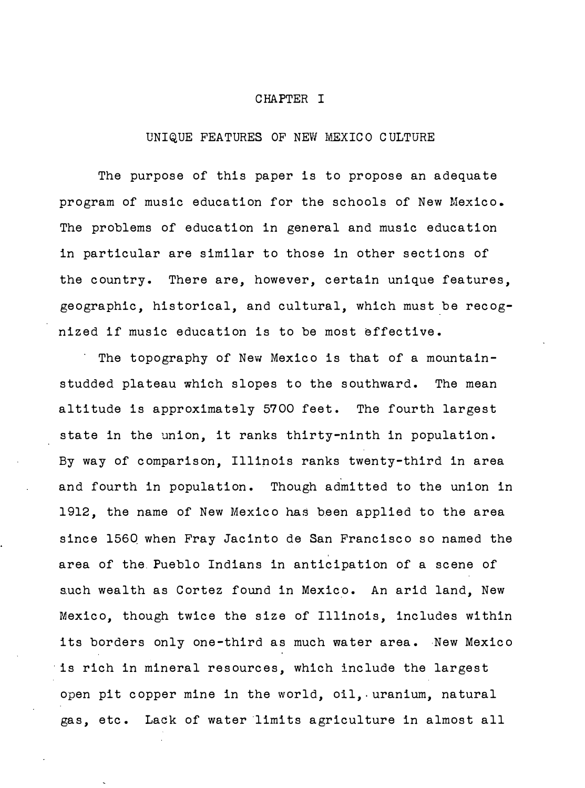#### CHAPTER I

## UNIQUE FEATURES OF NEW MEXICO CULTURE

The purpose of this paper is to propose an adequate program of music education for the schools of New Mexico. The problems of education in general and music education in particular are similar to those in other sections of the country. There are, however, certain unique features, geographic, historical, and cultural, which must be recognized if music education is to be most effective.

The topography of New Mexico is that of a mountainstudded plateau which slopes to the southward. The mean altitude is approximately 5700 feet. The fourth largest state in the union, it ranks thirty-ninth in population. By way of comparison, Illinois ranks twenty-third in area and fourth in population. Though admitted to the union in 1912, the name of New Mexico has been applied to the area since 1560 when Fray Jacinto de San Francisco so named the area of the. Pueblo Indians in anticipation of a scene of such wealth as Cortez found in Mexico. An arid land, New Mexico, though twice the size of Illinois, includes within its borders only one-third as much water area. New Mexico is rich in mineral resources, which include the largest open pit copper mine in the world, oil, uranium, natural gas, etc. Lack of water limits agriculture in almost all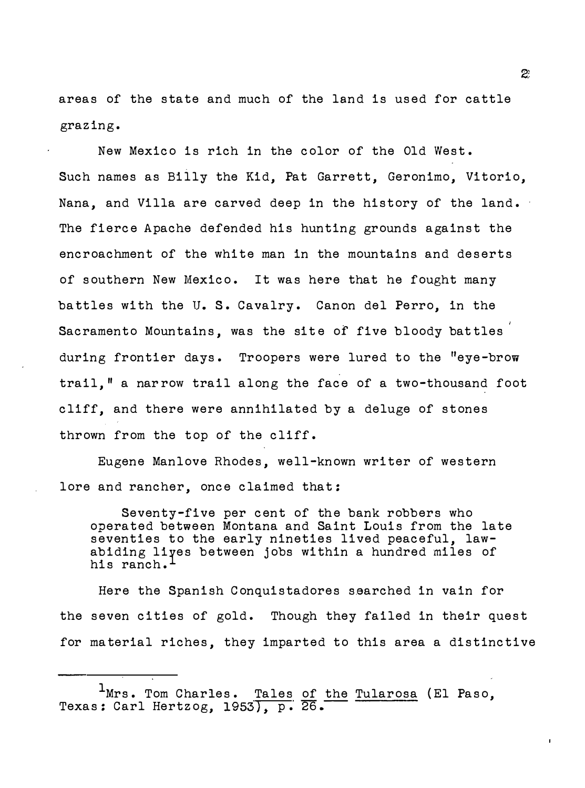areas of the state and much of the land is used for cattle grazing.

New Mexico is rich in the color of the Old West. Such names as Billy the Kid, Pat Garrett, Geronimo, Vitorio, Nana, and Villa are carved deep in the history of the land. The fierce Apache defended his hunting grounds against the encroachment of the white man in the mountains and deserts of southern New Mexico. It was here that he fought many battles with the U.S. Cavalry. Canon del Perro, in the Sacramento Mountains, was the site of five bloody battles during frontier days. Troopers were lured to the "eye-brow trail." a narrow trail along the face of a two-thousand foot cliff, and there were annihilated by a deluge of stones thrown from the top of the cliff.

Eugene Manlove Rhodes, well-known writer of western lore and rancher, once claimed that:

Seventy-five per cent of the bank robbers who operated between Montana and Saint Louis from the late seventies to the early nineties lived peaceful, lawabiding liyes between jobs within a hundred miles of his ranch.<sup>1</sup>

Here the Spanish Conquistadores searched in vain for the seven cities of gold. Though they failed in their quest for material riches, they imparted to this area a distinctive

<sup>&</sup>lt;sup>1</sup>Mrs. Tom Charles. Tales of the Tularosa (El Paso, Texas: Carl Hertzog, 1953), p. 26.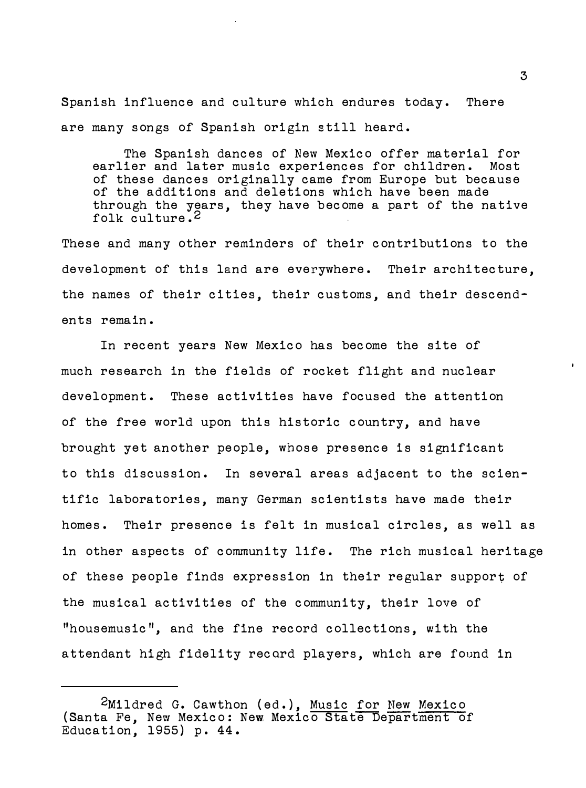Spanish influence and culture which endures today. There are many songs of Spanish origin still heard.

The Spanish dances of New Mexico offer material for earlier and later music experiences for children. Most of these dances originally came from Europe but because of the additions and deletions which have been made through the years, they have become a part of the native folk culture.<sup>2</sup>

These and many other reminders of their contributions to the development of this land are everywhere. Their architecture, the names of their cities, their customs, and their descendents remain.

In recent years New Mexico has become the site of much research in the fields of rocket flight and nuclear development. These activities have focused the attention of the free world upon this historic country, and have brought yet another people, whose presence is significant to this discussion. In several areas adjacent to the scientific laboratories, many German scientists have made their homes. Their presence is felt in musical circles, as well as in other aspects of community life. The rich musical heritage of these people finds expression in their regular support of the musical activities of the community, their love of "housemusic", and the fine record collections, with the attendant high fidelity record players, which are found in

<sup>2</sup>Mildred G. Cawthon (ed. ), Music for New Mexico (Santa Fe, New Mexico: New Mexico State Department of Education, 1955) p. 44.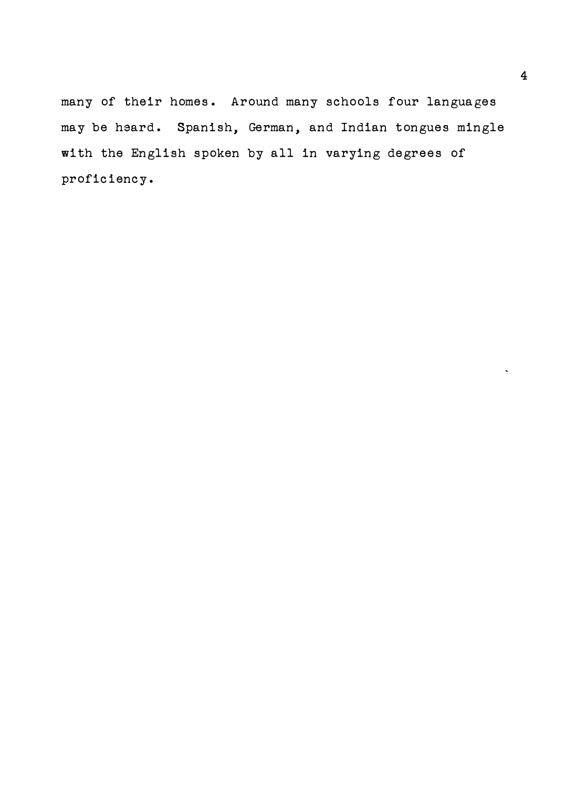many of their homes. Around many schools four languages may be heard. Spanish, German, and Indian tongues mingle with the English spoken by all in varying degrees of proficiency.

 $\ddot{\phantom{0}}$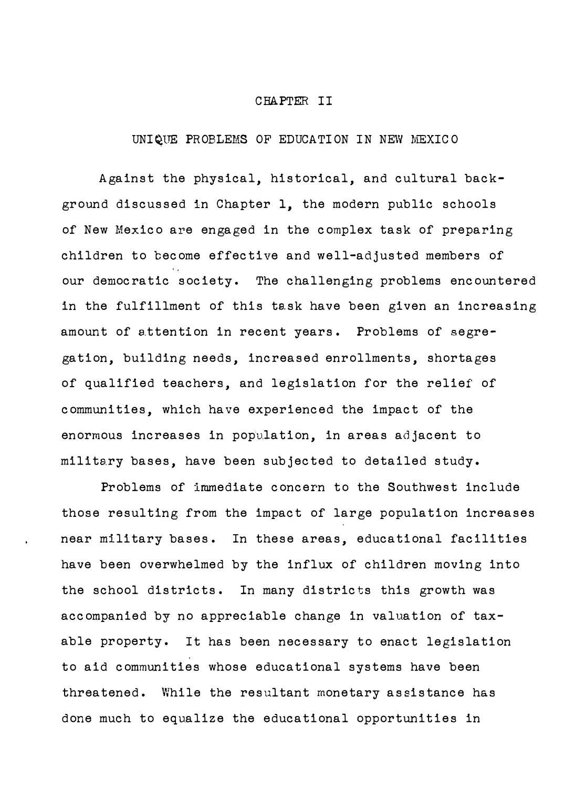#### CHAPTER II

### UNI�UE PROBLEMS OF EDUCATION IN NEW MEXICO

Against the physical, historical, and cultural background discussed in Chapter 1, the modern public schools of New Mexico are engaged in the complex task of preparing children to become effective and well-adjusted members of our democratic society. The challenging problems encountered in the fulfillment of this te.sk have been given an increasing amount of attention in recent years. Problems of segregation, building needs, increased enrollments, shortages of qualified teachers, and legislation for the relief of communities, which have experienced the impact of the enormous increases in population, in areas adjacent to military bases, have been subjected to detailed study.

Problems of immediate concern to the Southwest include those resulting from the impact of large population increases near military bases. In these areas, educational facilities have been overwhelmed by the influx of children moving into the school districts. In many districts this growth was accompanied by no appreciable change in valuation of taxable property. It has been necessary to enact legislation to aid communities whose educational systems have been threatened. While the resultant monetary assistance has done much to equalize the educational opportunities in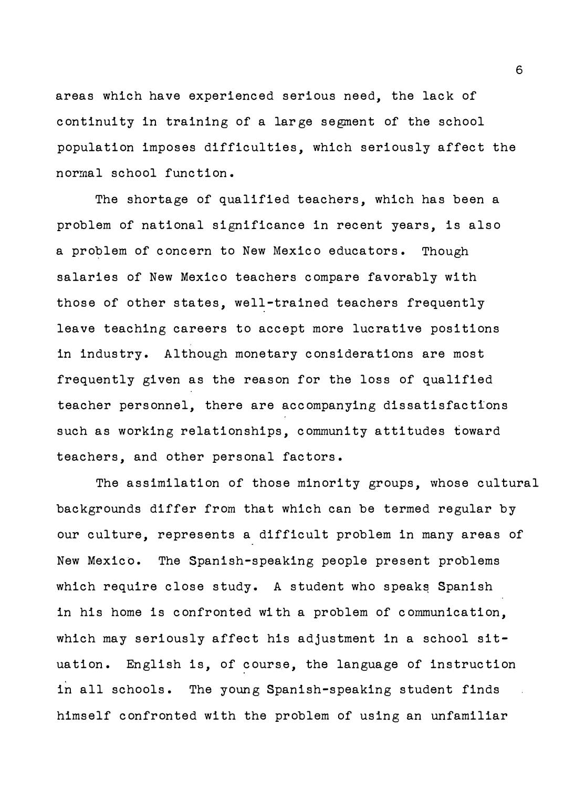areas which have experienced serious need, the lack of continuity in training of a large segment of the school population imposes difficulties, which seriously affect the normal school function.

The shortage of qualified teachers, which has been a problem of national significance in recent years, is also a problem of concern to New Mexico educators. Though salaries of New Mexico teachers compare favorably with those of other states, well-trained teachers frequently leave teaching careers to accept more lucrative positions in industry. Although monetary considerations are most frequently given as the reason for the loss of qualified teacher personnel, there are accompanying dissatisfactions such as working relationships, community attitudes toward teachers, and other personal factors.

The assimilation of those minority groups, whose cultural backgrounds differ from that which can be termed regular by our culture, represents a difficult problem in many areas of New Mexico. The Spanish-speaking people present problems which require close study. A student who speaks Spanish in his home is confronted with a problem of communication, which may seriously affect his adjustment in a school situation. English is, of course, the language of instruction in all schools. The young Spanish-speaking student finds himself confronted with the problem of using an unfamiliar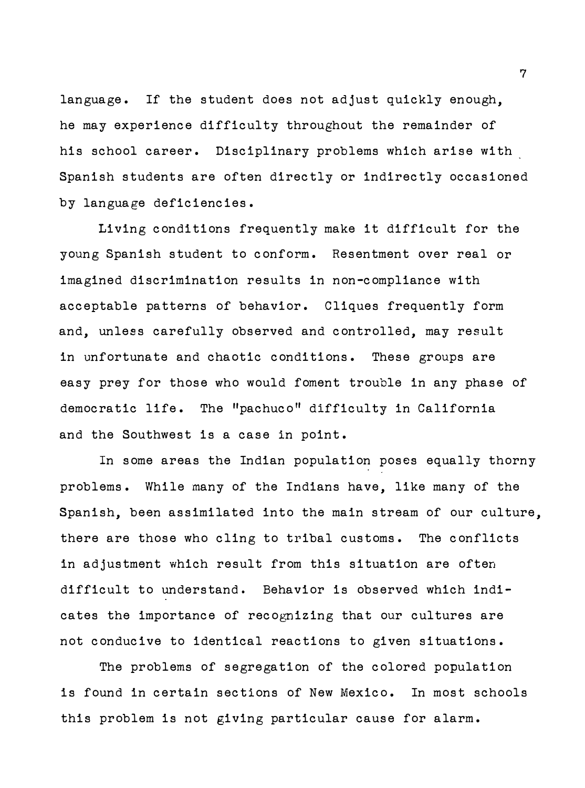language. If the student does not adjust quickly enough, he may experience difficulty throughout the remainder of his school career. Disciplinary problems which arise with Spanish students are often directly or indirectly occasioned by language deficiencies.

Living conditions frequently make it difficult for the young Spanish student to conform. Resentment over real or imagined discrimination results in non-compliance with acceptable patterns of behavior. Cliques frequently form and, unless carefully observed and controlled, may result in unfortunate and chaotic conditions. These groups are easy prey for those who would foment trouble in any phase of democratic life. The "pachuco" difficulty in California and the Southwest is a case in point.

In some areas the Indian population poses equally thorny problems. While many of the Indians have, like many of the Spanish, been assimilated into the main stream of our culture, there are those who cling to tribal customs. The conflicts in adjustment which result from this situation are often difficult to understand. Behavior is observed which indicates the importance of recognizing that our cultures are not conducive to identical reactions to given situations.

The problems of segregation of the colored population is found in certain sections of New Mexico. In most schools this problem is not giving particular cause for alarm.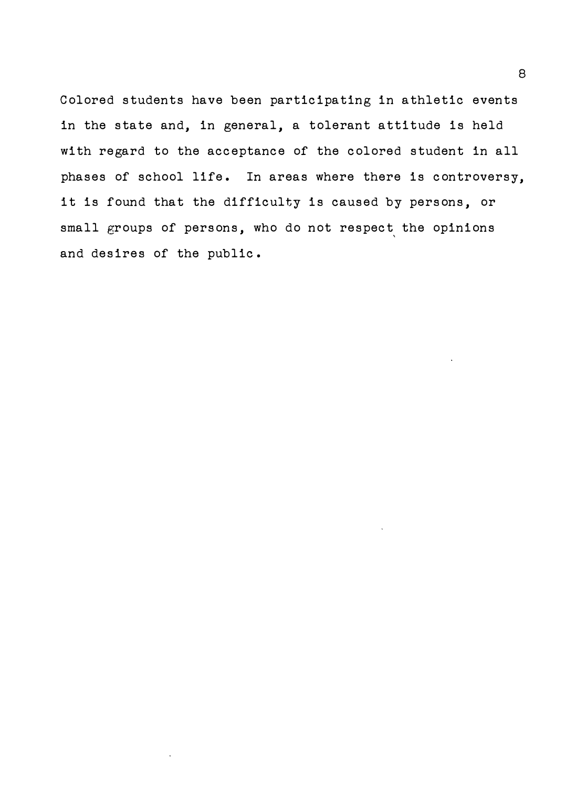Colored students have been participating in athletic events in the state and, in general, a tolerant attitude is held with regard to the acceptance of the colored student in all phases of school life. In areas where there is controversy, it is found that the difficulty is caused by persons, or small groups of persons, who do not respect the opinions and desires of the public.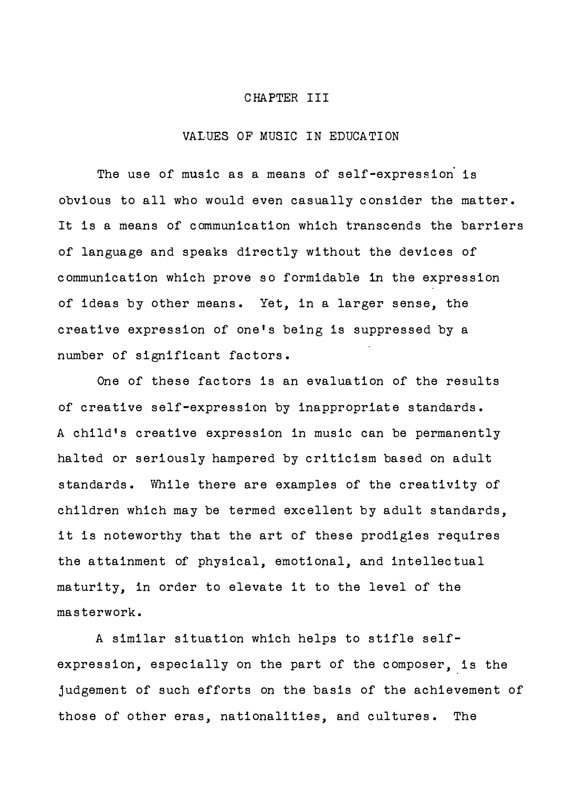#### CHAPTER III

### VALUES OF MUSIC IN EDUCATION

The use of music as a means of self-expression is obvious to all who would even casually consider the matter. It is a means of communication which transcends the barriers of language and speaks directly without the devices of communication which prove so formidable in the expression of ideas by other means. Yet, in a larger sense, the creative expression of one's being is suppressed by a number of significant factors.

One of these factors is an evaluation of the results of creative self-expression by inappropriate standards. A child's creative expression in music can be permanently halted or seriously hampered by criticism based on adult standards. While there are examples of the creativity of children which may be termed excellent by adult standards, it is noteworthy that the art of these prodigies requires the attainment of physical, emotional, and intellectual maturity, in order to elevate it to the level of the masterwork.

A similar situation which helps to stifle selfexpression, especially on the part of the composer, is the judgement of such efforts on the basis of the achievement of those of other eras, nationalities, and cultures. The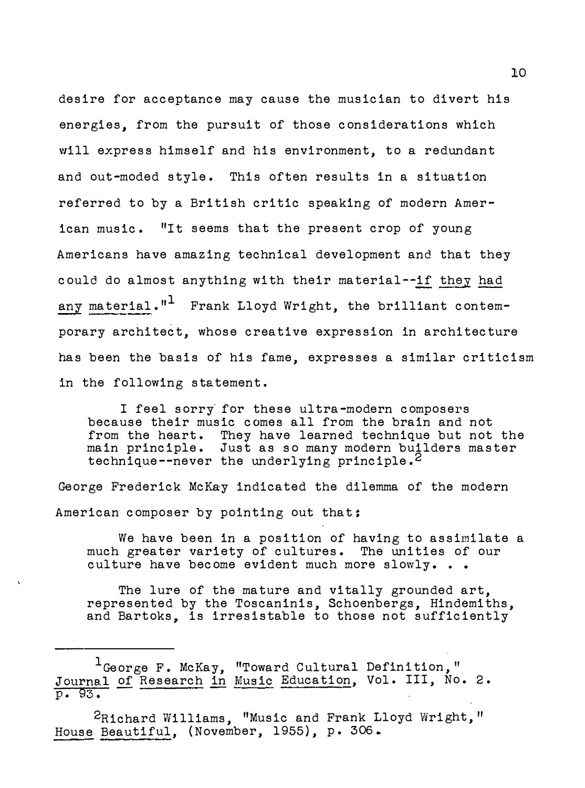desire for acceptance may cause the musician to divert his energies, from the pursuit of those considerations which will express himself and his environment, to a redundant and out-moded style. This often results in a situation referred. to by a British critic speaking of modern American music. "It seems that the present crop of young Americans have amazing technical development and that they could do almost anything with their material--if they had  $_{\tt any\ material}$ ." $^1$  Frank Lloyd Wright, the brilliant contemporary architect, whose creative expression in architecture has been the basis of his fame, expresses a similar criticism in the following statement.

I feel sorry for these ultra-modern composers because their music comes all from the brain and not from the heart. They have learned technique but not the main principle. Just as so many modern builders master technique--never the underlying principle.<sup>2</sup>

George Frederick McKay indicated the dilemma of the modern American composer by pointing out that:

We have been in a position of having to assimilate a much greater variety of cultures. The unities of our culture have become evident much more slowly. . .

The lure of the mature and vitally grounded art, represented by the Toscaninis, Schoenbergs, Hindemiths, and Bartoks, is irresistable to those not sufficiently

 $^{1}$ George F. McKay, "Toward Cultural Definition," Journal of Research in Music Education, Vol. III, No. 2.  $\overline{p}$ . 93.

<sup>2</sup>Richard Williams, "Music and Frank Lloyd Wright," House Beautiful, (November, 1955), p. 306.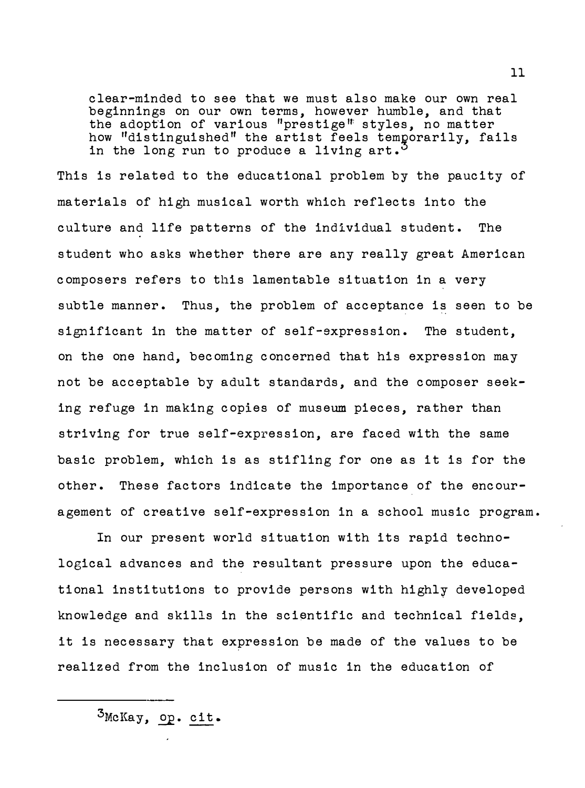clear-minded to see that we must also make our own real beginnings on our own terms, however humble, and that the adoption of various "prestige" styles, no matter how "distinguished" the artist feels temporarily, fails<br>in the long nun te preduce a living ant <sup>5</sup> in the long run to produce a living  $art.^{\circ}$ 

This is related to the educational problem by the paucity of materials of high musical worth which reflects into the culture and life patterns of the individual student. The student who asks whether there are any really great American composers refers to this lamentable situation in a very subtle manner. Thus, the problem of acceptance is seen to be significant in the matter of self-expression. The student, on the one hand, becoming concerned that his expression may not be acceptable by adult standards, and the composer seeking refuge in making copies of museum pieces, rather than striving for true self-expression, are faced with the same basic problem, which is as stifling for one as it is for the other. These factors indicate the importance of the encouragement of creative self-expression in a school music program.

In our present world situation with its rapid technological advances and the resultant pressure upon the educational institutions to provide persons with highly developed knowledge and skills in the scientific and technical fields, it is necessary that expression be made of the values to be realized from the inclusion of music in the education of

 $3$ McKay,  $_{\text{OP}}$ . cit.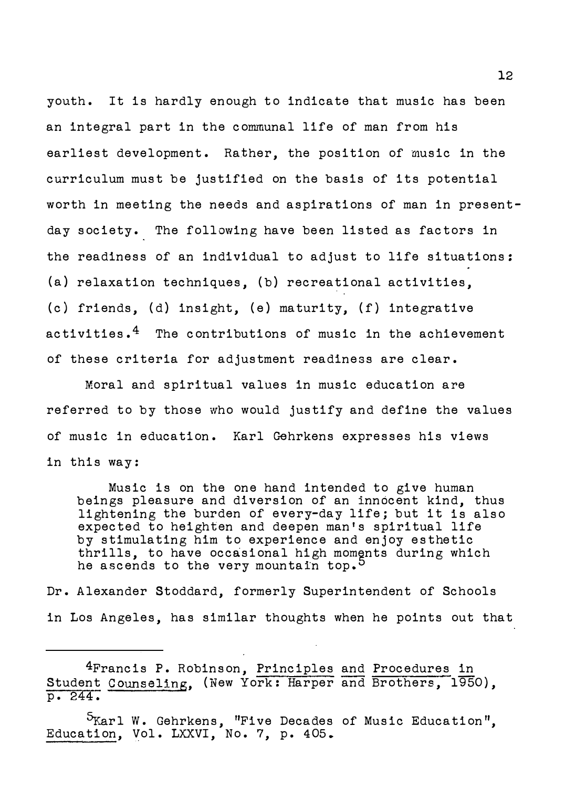youth. It is hardly enough to indicate that music has been an integral part in the communal life of man from his earliest development. Rather, the position of music in the curriculum must be justified on the basis of its potential worth in meeting the needs and aspirations of man in presentday society. The following have been listed as factors in the readiness of an individual to adjust to life situations: (a) relaxation techniques, (b) recreational activities, (c) friends, (d) insight, (e) maturity, (f) integrative activities. $4$  The contributions of music in the achievement of these criteria for adjustment readiness are clear.

Moral and spiritual values in music education are referred to by those who would justify and define the values of music in education. Karl Gehrkens expresses his views in this way :

Music is on the one hand intended to give human beings pleasure and diversion of an innocent kind, thus lightening the burden of every-day life; but it is also expected to heighten and deepen man's spiritual life by stimulating him to experience and enjoy esthetic thrills, to have occasional high moments during which he ascends to the very mountain top.<sup>5</sup>

Dr. Alexander Stoddard, formerly Superintendent of Schools in Los Angeles, has similar thoughts when he points out that

4Francis P. Robinson, Principles and Procedures in Student Counseling, (New York: Harper and Brothers, 1950), p. 244.

5Karl W. Gehrkens, "Five Decades of Music Education", Education, Vol. LXXVI, No. 7, p. 405.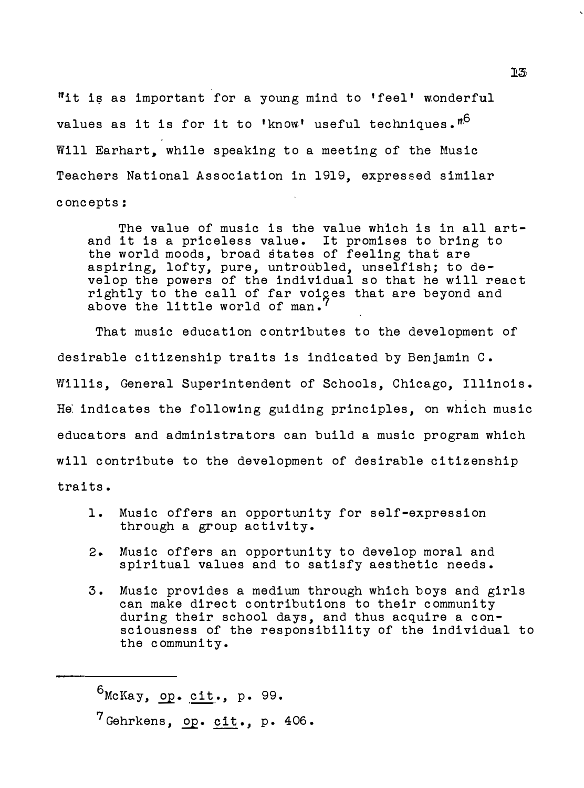"it is as important for a young mind to 'feel' wonderful values as it is for it to 'know' useful techniques." $\overline{^{16}}$ Will Earhart, while speaking to a meeting of the Music Teachers National Association in 1919, expressed similar concepts:

The value of music is the value which is in all artand it is a priceless value. It promises to bring to the world moods, broad states of feeling that are aspiring, lofty, pure, untroubled, unselfish; to develop the powers of the individual so that he will react rightly to the call of far voiges that are beyond and above the little world of man.

That music education contributes to the development of desirable citizenship traits is indicated by Benjamin C. Willis, General Superintendent of Schools, Chicago, Illinois. He: indicates the following guiding principles, on which music educators and administrators can build a music program which will contribute to the development of desirable citizenship traits.

1. Music offers an opportunity for self-expression through a group activity.

- 2. Music offers an opportunity to develop moral and spiritual values and to satisfy aesthetic needs.
- 3. Music provides a medium through which boys and girls can make direct contributions to their community during their school days, and thus acquire a consciousness of the responsibility of the individual to the community.

 $6$ McKay, op. cit., p. 99.

 $7$  Gehrkens, op. cit., p. 406.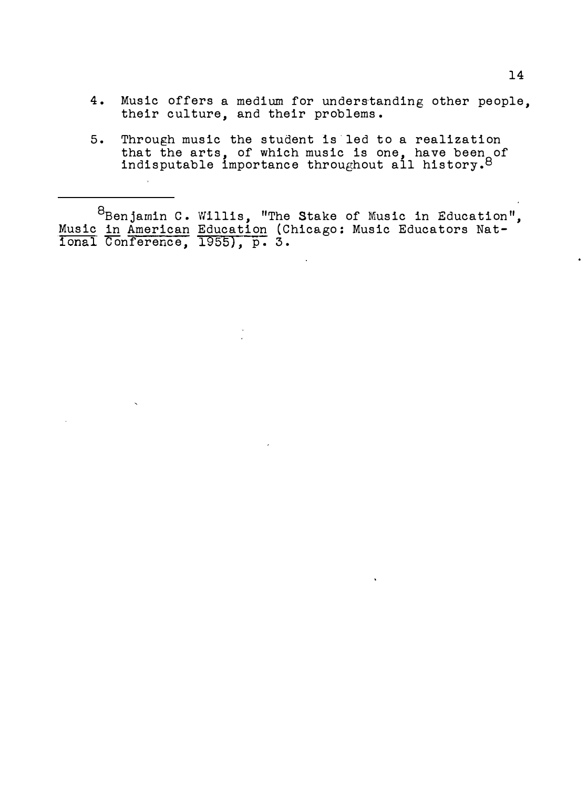- 4. Music offers a medium for understanding other people, their culture, and their problems.
- 5. Through music the student is-led to a realization that the arts, of which music is one, have been of<br>indisputable importance throughout all history.<sup>8</sup>

 $^8$ Benjamin C. Willis, "The Stake of Music in Education", Music in American Education (Chicago: Music Educators National conference, 1955), p. 3.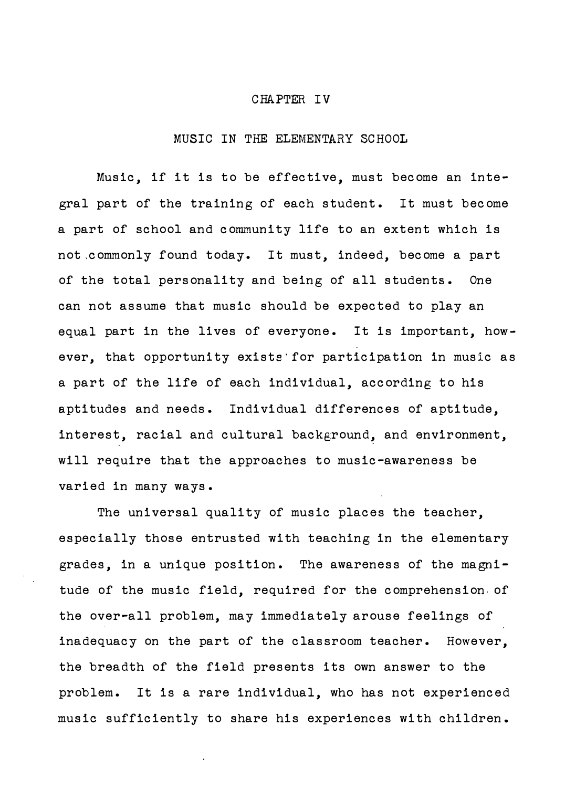#### CHAPTER IV

### MUSIC IN THE ELEMENTARY SCHOOL

Music, if it is to be effective, must become an integral part of the training of each student. It must become a part of school and community life to an extent which is not ,commonly found today. It must, indeed, become a part of the total personality and being of all students. One can not assume that music should be expected to play an equal part in the lives of everyone. It is important, however, that opportunity exists· for participation in music as a part of the life of each individual, according to his aptitudes and needs. Individual differences of aptitude, interest, racial and cultural background, and environment, will require that the approaches to music-awareness be varied in many ways.

The universal quality of music places the teacher, especially those entrusted with teaching in the elementary grades, in a unique position. The awareness of the magnitude of the music field, required for the comprehension of the over-all problem, may immediately arouse feelings of inadequacy on the part of the classroom teacher. However, the breadth of the field presents its own answer to the problem. It is a rare individual, who has not experienced music sufficiently to share his experiences with children.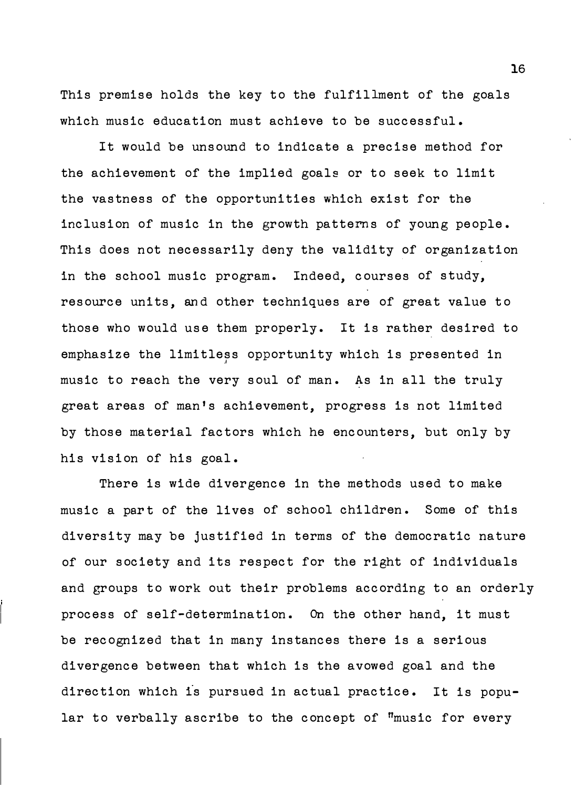This premise holds the key to the fulfillment of the goals which music education must achieve to be successful.

It would be unsound to indicate a precise method for the achievement of the implied goals or to seek to limit the vastness of the opportunities which exist for the inclusion of music in the growth patterns of young people. This does not necessarily deny the validity of organization in the school music program. Indeed, courses of study, resource units, and other techniques are of great value to those who would use them properly. It is rather desired to emphasize the limitless opportunity which is presented in .I music to reach the very soul of man. As in all the truly great areas of man's achievement, progress is not limited by those material factors which he encounters, but only by his vision of his goal.

There is wide divergence in the methods used to make music a part of the lives of school children. Some of this diversity may be justified in terms of the democratic nature of our society and its respect for the right of individuals and groups to work out their problems according to an orderly process of self-determination. On the other hand, it must be recognized that in many instances there is a serious divergence between that which is the avowed goal and the direction which is pursued in actual practice. It is popular to verbally ascribe to the concept of "music for every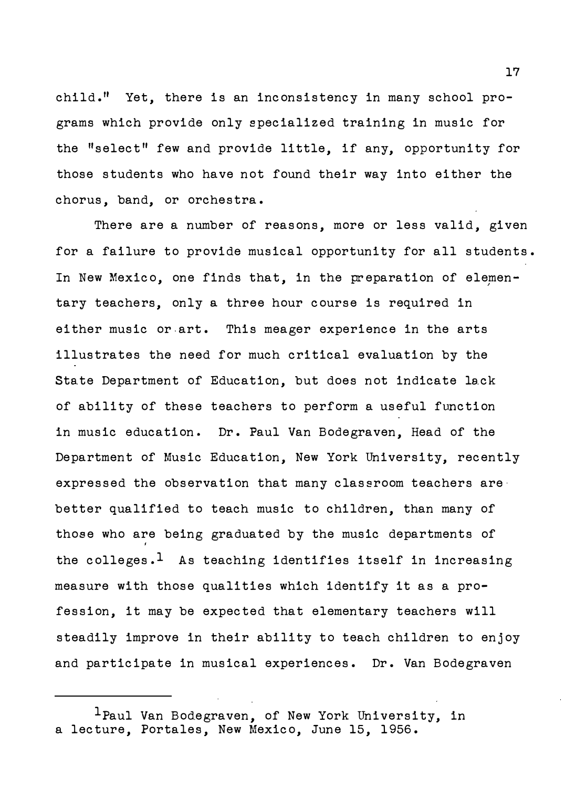child.11 Yet, there is an inconsistency in many school programs which provide only specialized training in music for the "select" few and provide little, if any, opportunity for those students who have not found their way into either the chorus, band, or orchestra.

There are a number of reasons, more or less valid, given for a failure to provide musical opportunity for all students. In New Mexico, one finds that, in the preparation of elementary teachers, only a three hour course is required in either music or.art. This meager experience in the arts illustrates the need for much critical evaluation by the State Department of Education, but does not indicate lack of ability of these teachers to perform a useful function in music education. Dr. Paul Van Bodegraven, Head of the Department of Music Education, New York University, recently expressed the observation that many classroom teachers are better qualified to teach music to children, than many of those who are being graduated by the music departments of ' the colleges.<sup>1</sup> As teaching identifies itself in increasing measure with those qualities which identify it as a profession, it may be expected that elementary teachers will steadily improve in their ability to teach children to enjoy and participate in musical experiences. Dr. Van Bodegraven

 $\perp$ Paul Van Bodegraven, of New York University, in a lecture, Portales, New Mexico, June 15, 1956.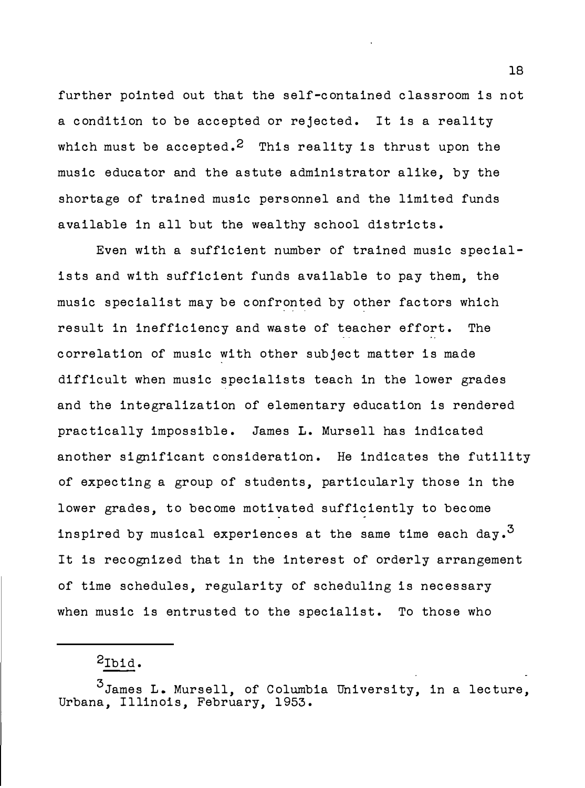further pointed out that the self-contained classroom is not a condition to be accepted or rejected. It is a reality which must be accepted.<sup>2</sup> This reality is thrust upon the music educator and the astute administrator alike, by the shortage of trained music personnel and the limited funds available in all but the wealthy school districts.

Even with a sufficient number of trained music specialists and with sufficient funds available to pay them, the music specialist may be confronted by other factors which result in inefficiency and waste of teacher effort. The correlation of music with other subject matter is made difficult when music specialists teach in the lower grades and the integralization of elementary education is rendered practically impossible. James L. Mursell has indicated another significant consideration. He indicates the futility of expecting a group of students, particularly those in the lower grades, to become motivated sufficiently to become inspired by musical experiences at the same time each day.<sup>3</sup> It is recognized that in the interest of orderly arrangement of time schedules, regularity of scheduling is necessary when music is entrusted to the specialist. To those who

# 2Ibid.

3 James L. Mursell, of Columbia University, in a lecture, Urbana, Illinois, February, 1953.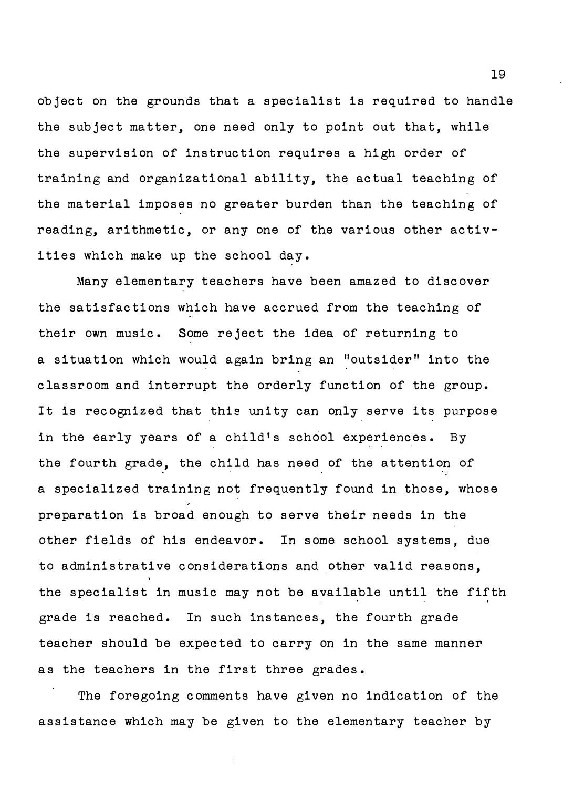ob ject on the grounds that a specialist is required to handle the subject matter, one need only to point out that, while the supervision of instruction requires a high order of training and organizational ability, the actual teaching of the material imposes no greater burden than the teaching of reading, arithmetic, or any one of the various other activities which make up the school day.

Many elementary teachers have been amazed to discover the satisfactions which have accrued from the teaching of their own music. Some reject the idea of returning to a situation which would again bring an "outsider" into the classroom and interrupt the orderly function of the group. It is recognized that this unity can only serve its purpose in the early years of a child's school experiences. By the fourth grade, the child has need of the attention of a specialized training not frequently found in those, whose preparation is broad enough to serve their needs in the other fields of his endeavor. In some school systems, due to administrative considerations and other valid reasons, the specialist in music may not be available until the fifth grade is reached. In such instances, the fourth grade teacher should be expected to carry on in the same manner as the teachers in the first three grades.

The foregoing comments have given no indication of the assistance which may be given to the elementary teacher by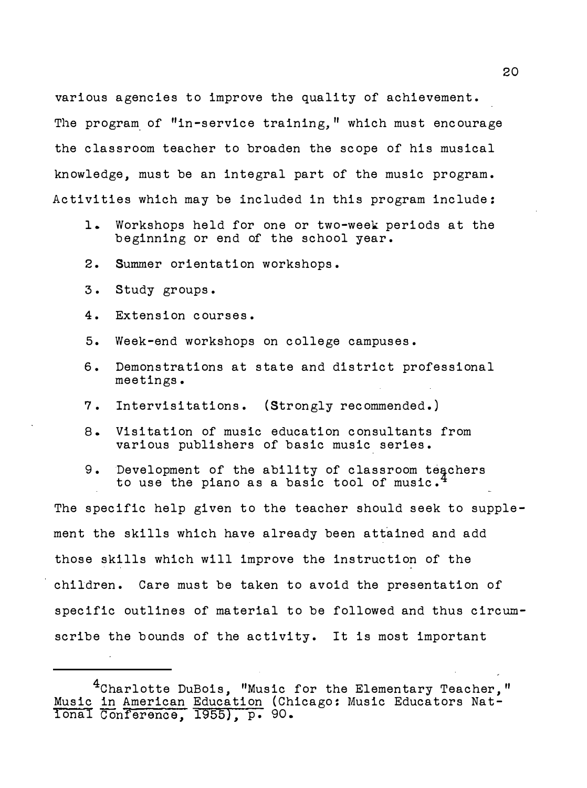various agencies to improve the quality of achievement. The program of "in-service training," which must encourage the classroom teacher to broaden the scope of his musical knowledge, must be an integral part of the music program. Activities which may be included in this program include:

- 1. Workshops held for one or two-week periods at the beginning or end of the school year.
- 2. Summer orientation workshops.
- 3. Study groups.
- 4. Extension courses.
- 5. Week-end workshops on college campuses.
- 6. Demonstrations at state and district professional meetings.
- 7. Intervisitations. (Strongly recommended.)
- 8. Visitation of music education consultants from various publishers of basic music series.
- 9. Development of the ability of classroom teachers<br>to use the piano as a basic tool of music.<sup>4</sup> to use the piano as a basic tool of music.

The specific help given to the teacher should seek to supplement the skills which have already been attained and add those skills which will improve the instruction of the children. Care must be taken to avoid the presentation of specific outlines of material to be followed and thus circumscribe the bounds of the activity. It is most important

<sup>&</sup>lt;sup>4</sup>Charlotte DuBois, "Music for the Elementary Teacher," Music in American Education (Chicago: Music Educators National Conference, 1955), p. 90.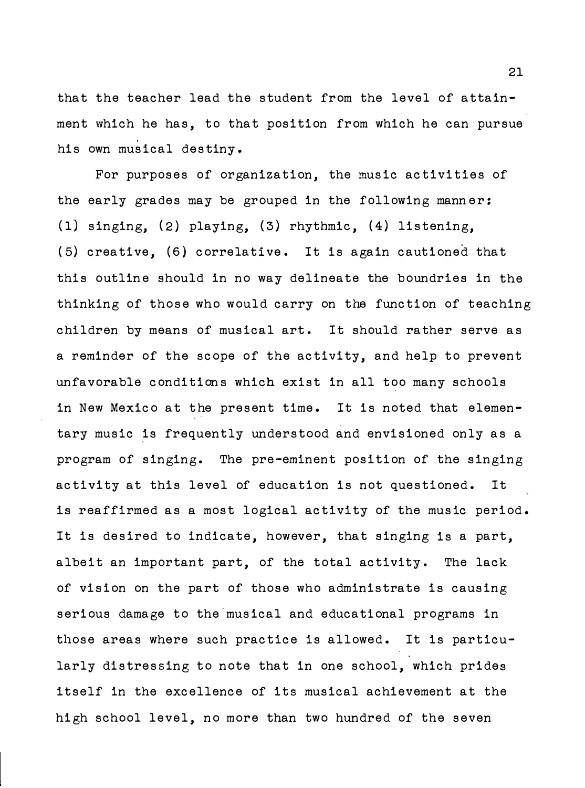that the teacher lead the student from the level of attainment which he has, to that position from which he can pursue his own musical destiny.

For purposes of organization, the music activities of the early grades may be grouped in the following manner: ( 1) singing, (2) playing, (3) rhythmic, (4) listening, (5) creative, (6) correlative. It is again cautioned that this outline should in no way delineate the boundries in the thinking of those who would carry on the function of teaching children by means of musical art. It should rather serve as a reminder of the scope of the activity, and help to prevent unfavorable conditions which exist in all too many schools in New Mexico at the present time. It is noted that elementary music is frequently understood and envisioned only as a program of singing. The pre-eminent position of the singing activity at this level of education is not questioned. It is reaffirmed as a most logical activity of the music period. It is desired to indicate, however, that singing is a part, albeit an important part, of the total activity. The lack of vision on the part of those who administrate is causing serious damage to the musical and educational programs in those areas where such practice is allowed. It is particularly distressing to note that in one school, which prides itself in the excellence of its musical achievement at the high school level, no more than two hundred of the seven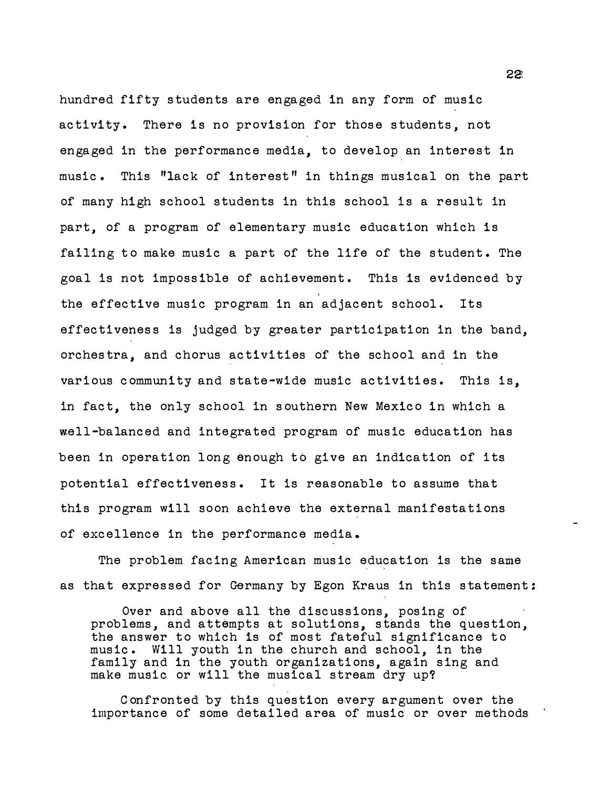hundred fifty s tudents are engaged in any form of music activity. There is no provision for those students, not engaged in the performance media, to develop an interest in music. This "lack of interest" in things musical on the part of many high school students in this school is a result in part, of a program of elementary music education which is failing to make music a part of the life of the student. The goal is not impossible of achievement. This is evidenced by ' the effective music program in an adjacent school. Its effectiveness is judged by greater participation in the band, orches tra, and chorus activities of the school and in the various community and state-wide music activities. This is, in fact, the only school in s outhern New Mexico in which a �ell-balanced and integrated program of music education has been in operation long enough to give an indication of its potential effectiveness. It is reasonable to assume that this program will soon achieve the external manifestations of excellence in the performance media .

The problem facing American music education is the same as that expressed for Germany by Egon Kraus in this statement:

Over and above all the discussions, posing of problems, and attempts at solutions, stands the question, the answer to which is of most fateful significance to music. Will youth in the church and school, in the family and in the youth organizations, again sing and make music or will the musical stream dry up?

C onfronted by this question every argument over the importance of some detailed area of music or over methods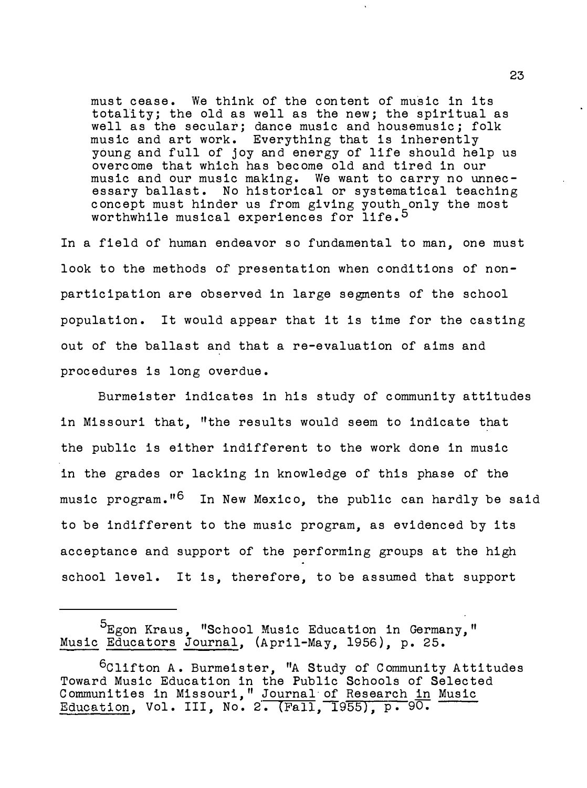must cease. We think of the con tent of music in its totality; the old as well as the new; the spiritual as well as the secular; dance music and housemusic; folk music and art work. Everything that is inherently young and full of joy and energy of life should help us overcome that which has become old and tired in our music and our music making. We want to carry no unnecessary ballast. No historical or systematical teaching concept must hinder us from giving youth only the most worthwhile musical experiences for life.<sup>5</sup>

In a field of human endeavor so fundamental to man, one must look to the methods of presentation when conditions of nonparticipation are observed in large segments of the school population. It would appear that it is time for the casting out of the ballast and that a re-evaluation of aims and procedures is long overdue.

Burmeister indicates in his study of community attitudes in Missouri that, "the results would seem to indicate that the public is either indifferent to the work done in music in the grades or lacking in knowledge of this phase of the music program."<sup>6</sup> In New Mexico, the public can hardly be said to be indifferent to the music program, as evidenced by its acceptance and support of the performing groups at the high school level. It is, therefore, to be assumed that support

<sup>&</sup>lt;sup>5</sup>Egon Kraus, "School Music Education in Germany," Music Educators Journal, (April-May, 1956), p. 25.

 $6$ Clifton A. Burmeister, "A Study of Community Attitudes Toward Music Education in the Public Schools of Selected Communities in Missouri," Journal of Research in Music Education, Vol. III, No. 2.  $(Fall, 1955)$ , p. 90.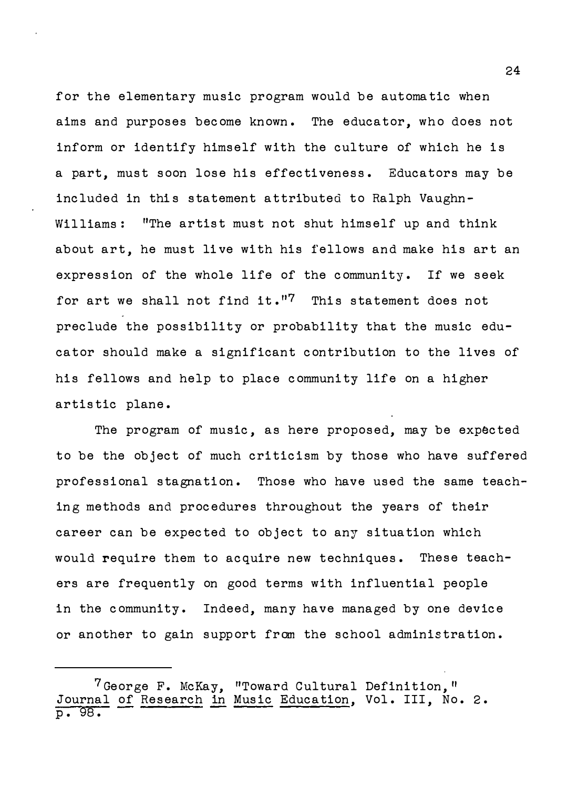for the elementary music program would be automatic when aims and purposes become known. The educator, who does not inform or identify himself with the culture of which he is a part, must soon lose his effectiveness. Educators may be included in this statement attributed to Ralph Vaughn-Williams: "The artist must not shut himself up and think about art, he must live with his fellows and make his art an expression of the whole life of the community. If we seek for art we shall not find it." $7$  This statement does not preclude the possibility or probability that the music educator should make a significant contribution to the lives of his fellows and help to place community life on a higher artistic plane.

The program of music, as here proposed, may be expected to be the object of much criticism by those who have suffered professional stagnation. Those who have used the same teaching methods and procedures throughout the years of their career can be expected to object to any situation which would require them to acquire new techniques. These teachers are frequently on good terms with influential people in the community. Indeed, many have managed by one device or another to gain support from the school administration.

 $7$  George F. McKay, "Toward Cultural Definition," Journal of Research in Music Education, Vol. III, No. 2. P• 98.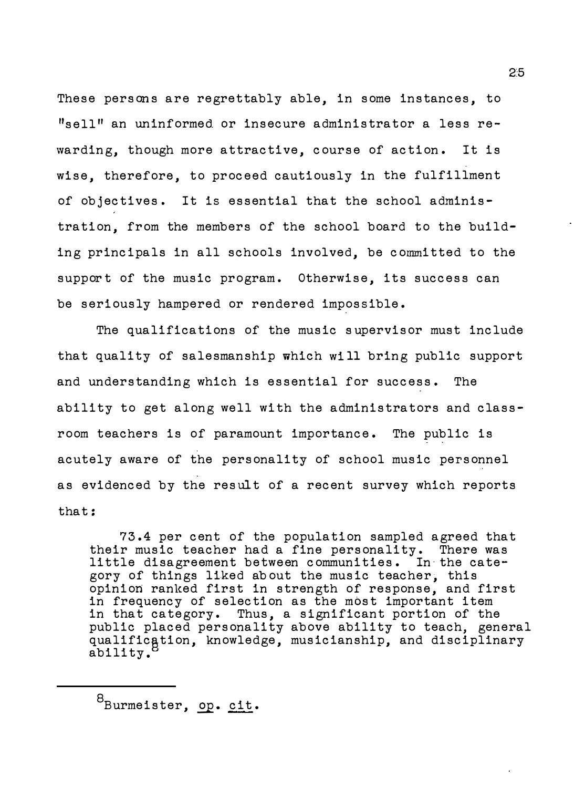These persons are regrettably able, in some instances, to  $"$ sell" an uninformed or insecure administrator a less rewarding, though more attractive, course of action. It is wise, therefore, to proceed cautiously in the fulfillment of objectives. It is essential that the school administration, from the members of the school board to the building principals in all schools involved, be committed to the support of the music program. Otherwise, its success can be seriously hampered or rendered impossible.

The qualifications of the music supervisor must include that quality of salesmanship which wi 11 bring public support and understanding which is essential for success. The ability to get along well with the administrators and classroom teachers is of paramount importance. The public is acutely aware of the personality of school music personnel as evidenced by the result of a recent survey which reports that:

73.4 per cent of the population sampled agreed that their music teacher had a fine personality. There was little disagreement between communities. In the category of things liked about the music teacher, this opinion ranked first in strength of response, and first in frequency of selection as the most important item in that category. Thus, a significant portion of the public placed personality above ability to teach, general qualification, knowledge, musicianship, and disciplinary ability .

<sup>8</sup>Burmeister, op. cit.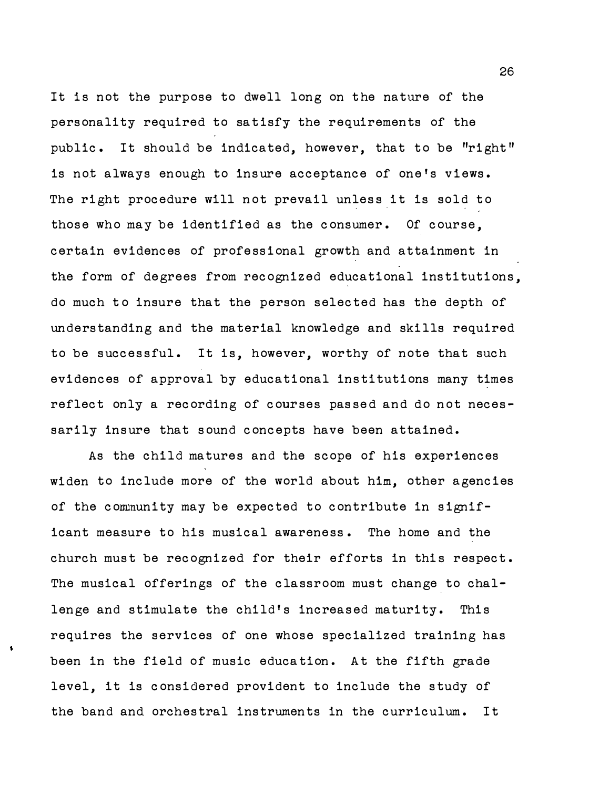It is not the purpose to dwell long on the nature of the personality required to satisfy the requirements of the public. It should be indicated, however, that to be "right" is not always enough to insure acceptance of one's views. The right procedure will not prevail unless it is sold to those who may be identified as the consumer. Of course, certain evidences of professional growth and attainment in the form of degrees from recognized educational institutions, do much to insure that the person selected has the depth of understanding and the material knowledge and skills required to be successful. It is, however, worthy of note that such evidences of approval by educational institutions many times reflect only a recording of courses passed and do not necessarily insure that sound concepts have been attained.

As the child matures and the scope of his experiences widen to include more of the world about him, other agencies of the community may be expected to contribute in significant measure to his musical awareness. The home and the church must be recognized for their efforts in this respect. The musical offerings of the classroom must change to challenge and stimulate the child's increased maturity. This requires the services of one whose specialized training has been in the field of music education. At the fifth grade level, it is considered provident to include the study of the band and. orchestral instruments in the curriculum. It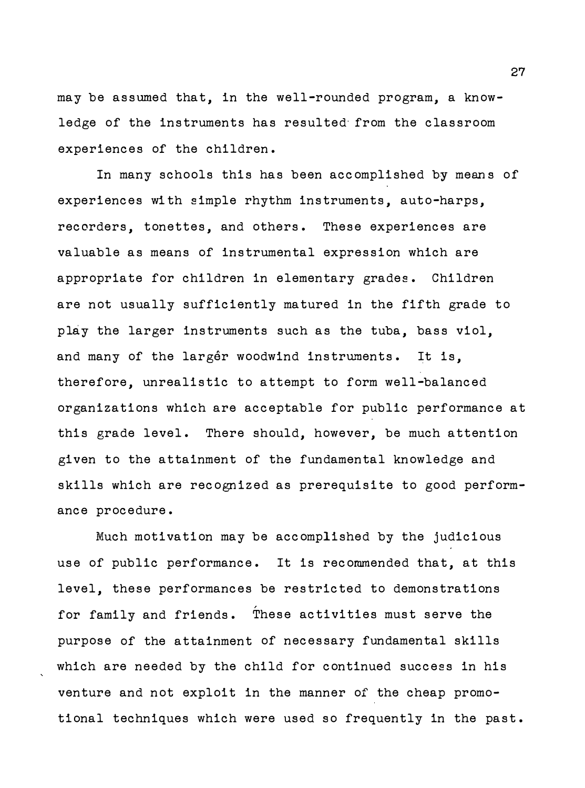may be assumed that, in the well-rounded program, a knowledge of the instruments has resulted· from the classroom experiences of the children.

In many schools this has been accomplished by means of experiences with simple rhythm instruments, auto-harps, recorders, tonettes, and others. These experiences are valuable as means of instrumental expression which are appropriate for children in elementary grades. Children are not usually sufficiently matured in the fifth grade to play the larger instruments such as the tuba, bass viol, and many of the largêr woodwind instruments. It is, therefore, unrealistic to attempt to form well-balanced organizations which are acceptable for public performance at this grade level. There should, however, be much attention given to the attainment of the fundamental knowledge and skills which are recognized as prerequisite to good performance procedure.

Much motivation may be accomplished by the judicious use of public performance. It is recommended that, at this level, these performances be restricted to demonstrations for family and friends. These activities must serve the purpose of the attainment of necessary fundamental skills which are needed by the child for continued success in his venture and not exploit in the manner of the cheap promotional techniques which were used so frequently in the past.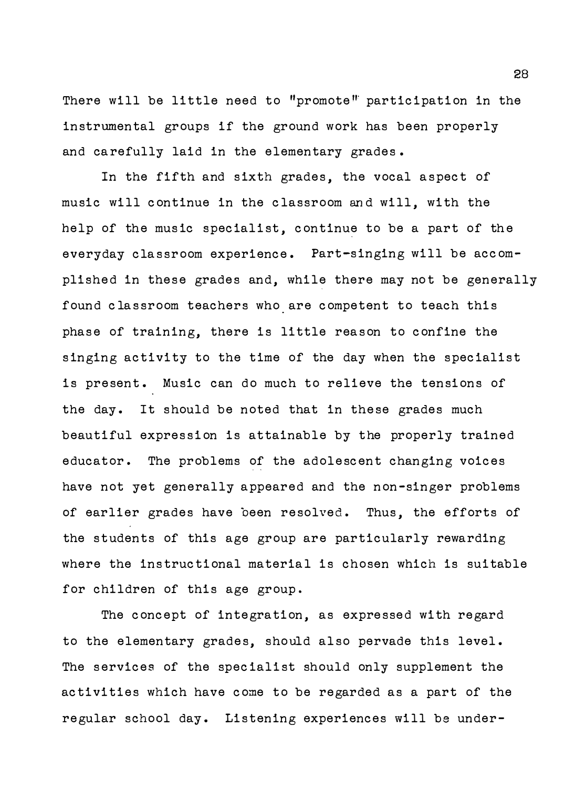There will be little need to "promote" participation in the instrumental groups if the ground work has been properly and carefully laid in the elementary grades .

In the fifth and sixth grades, the vocal aspect of music will continue in the classroom and will, with the help of the music specialist, continue to be a part of the everyday classroom experience. Part-singing will be accomplished in these grades and, while there may not be generally found classroom teachers who are competent to teach this phase of training, there is little reason to confine the singing activity to the time of the day when the specialist is present. Music can do much to relieve the tensions of the day. It should be noted that in these grades much beautiful expression is attainable by the properly trained educator. The problems of the adolescent changing voices have not yet generally appeared and the non-singer problems of earlier grades have been resolved. Thus, the efforts of the students of this age group are particularly rewarding where the instructional material is chosen which is suitable for children of this age group.

The concept of integration, as expressed with regard to the elementary grades, should also pervade this level. The services of the specialist should only supplement the activities which have come to be regarded as a part of the regular school day. Listening experiences will be under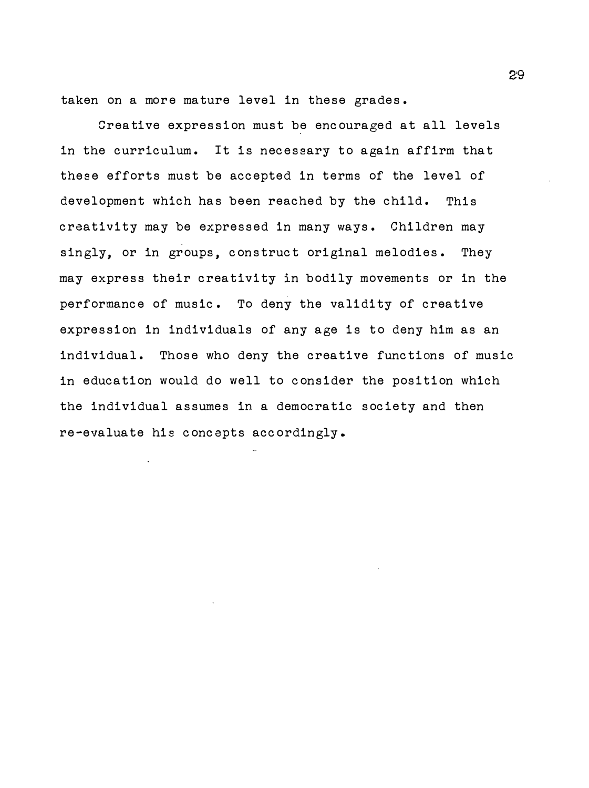taken on a more mature level in these grades.

Creative expression must be encouraged at all levels in the curriculum. It is necessary to again affirm that these efforts must be accepted in terms of the level of development which has been reached by the child. This creativity may be expressed in many ways. Children may singly, or in groups, construct original melodies. They may express their creativity in bodily movements or in the performance of music. To deny the validity of creative expression in individuals of any age is to deny him as an individual. Those who deny the creative functions of music in education would do well to consider the position which the individual assumes in a democratic society and then re-evaluate his concepts accordingly.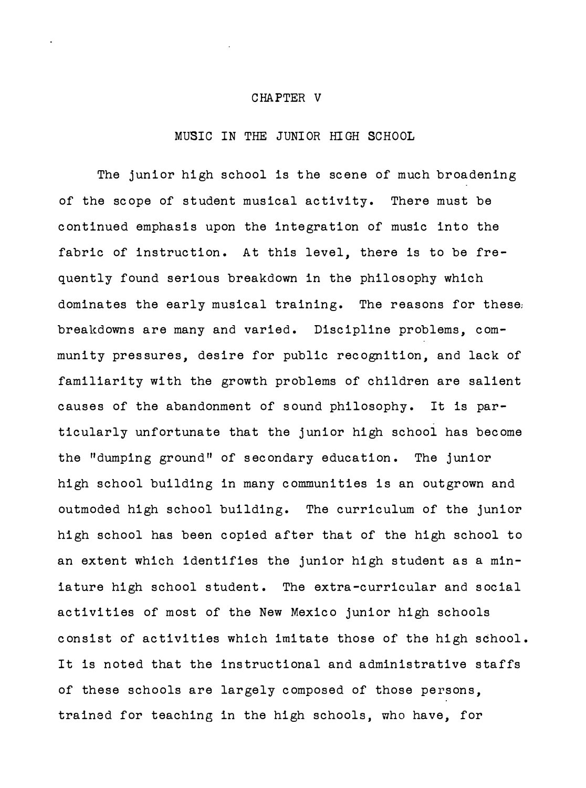#### CHAPTER V

# MUSIC IN THE JUNIOR HIGH SCHOOL

The junior high school is the scene of much broadening of the scope of student musical activity. There must be continued emphasis upon the integration of music into the fabric of instruction. At this level, there is to be frequently found serious breakdown in the philosophy which dominates the early musical training. The reasons for these, breakdowns are many and varied. Discipline problems, community pressures, desire for public recognition, and lack of familiarity with the growth problems of children are salient causes of the abandonment of sound philosophy. It is particularly unfortunate that the junior high school has become the "dumping ground" of secondary education. The junior high school building in many communities is an outgrown and outmoded high school building. The curriculum of the junior high school has been copied after that of the high school to an extent which identifies the junior high student as a miniature high school student. The extra-curricular and social activities of most of the New Mexico junior high schools consist of activities which imitate those of the high school. It is noted that the instructional and administrative staffs of these schools are largely composed of those persons, trained for teaching in the high schools, who have, for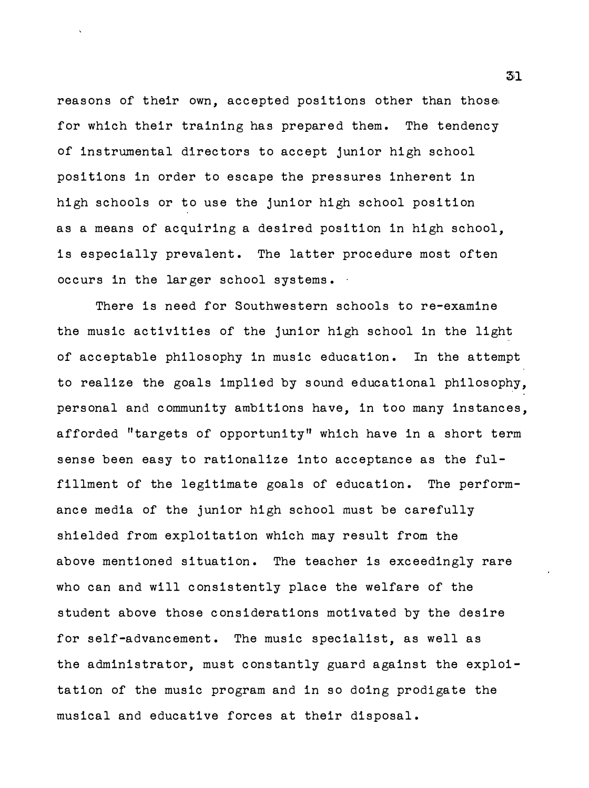reasons of their own, accepted positions other than those; for which their training has prepared them. The tendency of instrumental directors to accept junior high school positions in order to escape the pressures inherent in high schools or to use the junior high school position as a means of acquiring a desired position in high school, is especially prevalent. The latter procedure most often occurs in the larger school systems.

There is need for Southwestern schools to re-examine the music activities of the junior high school in the light of acceptable philosophy in music education. In the attempt to realize the goals implied by sound educational philosophy, personal and community ambitions have, in too many instances, afforded "targets of opportunity" which have in a short term sense been easy to rationalize into acceptance as the fulfillment of the legitimate goals of education. The performance media of the junior high school must be carefully shielded from exploitation which may result from the above mentioned situation. The teacher is exceedingly rare who can and will consistently place the welfare of the student above those considerations motivated by the desire for self-advancement. The music specialist, as well as the administrator, must constantly guard against the exploitation of the music program and in so doing prodigate the musical and educative forces at their disposal.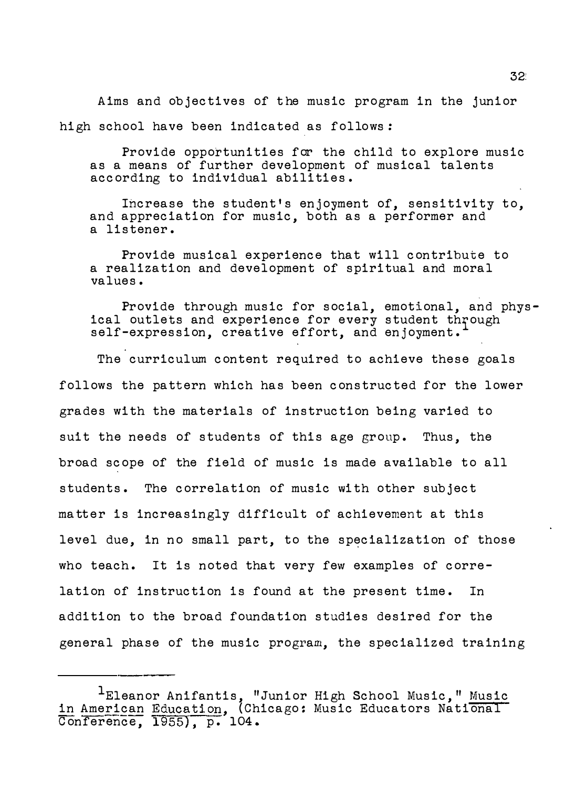Aims and objectives of the music program in the junior high school have been indicated as follows:

Provide opportunities for the child to explore music as a means of further development of musical talents according to individual abilities.

Increase the student's enjoyment of, sensitivity to, and appreciation for music, both as a performer and a listener.

Provide musical experience that will contribute to a realization and development of spiritual and moral values.

Provide through music for social, emotional, and physical outlets and experience for every student through self-expression, creative effort, and enjoyment.

The curriculum content required to achieve these goals follows the pattern which has been constructed for the lower grades with the materials of instruction being varied to suit the needs of students of this age group. Thus, the broad scope of the field of music is made available to all students. The correlation of music with other subject matter is increasingly difficult of achievement at this level due, in no small part, to the specialization of those who teach. It is noted that very few examples of correlation of instruction is found at the present time. In addition to the broad foundation studies desired for the general phase of the music program, the specialized training

 $^{\rm 1}$ Eleanor Anifantis, "Junior High School Music," <u>Music</u> in American Education, (Chicago: Music Educators National Conference, 1955), p. 104.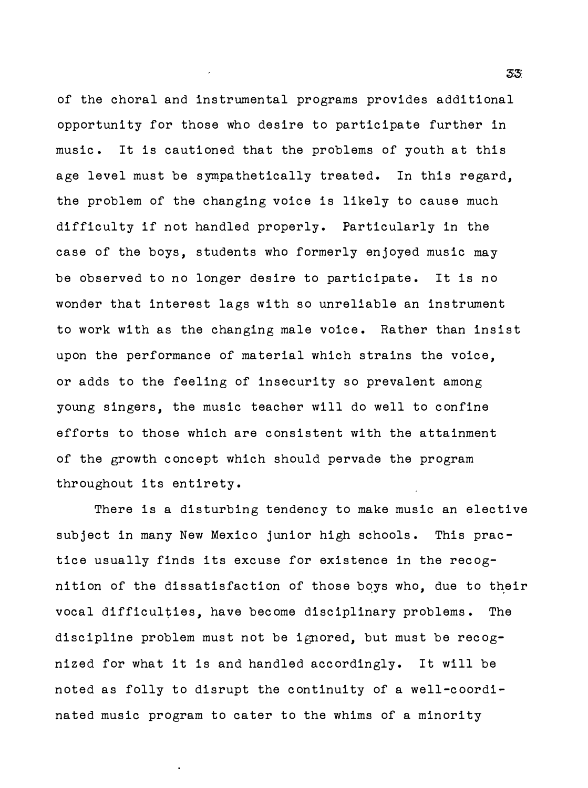of the choral and instrumental programs provides additional opportunity for those who desire to participate further in music. It is cautioned that the problems of youth at this age level must be sympathetically treated. In this regard, the problem of the changing voice is likely to cause much difficulty if not handled properly. Particularly in the case of the boys, students who formerly enjoyed music may be observed to no longer desire to participate. It is no wonder that interest lags with so unreliable an instrument to work with as the changing male voice. Rather than insist upon the performance of material which strains the voice, or adds to the feeling of insecurity so prevalent among young singers, the music teacher will do well to confine efforts to those which are consistent with the attainment of the growth concept which should pervade the program throughout its entirety.

There is a disturbing tendency to make music an elective subject in many New Mexico junior high schools. This practice usually finds its excuse for existence in the recognition of the dissatisfaction of those boys who, due to their vocal difficulties, have become disciplinary problems. The discipline problem must not be ignored, but must be recognized for what it is and handled accordingly. It will be noted as folly to disrupt the continuity of a well-coordinated music program to cater to the whims of a minority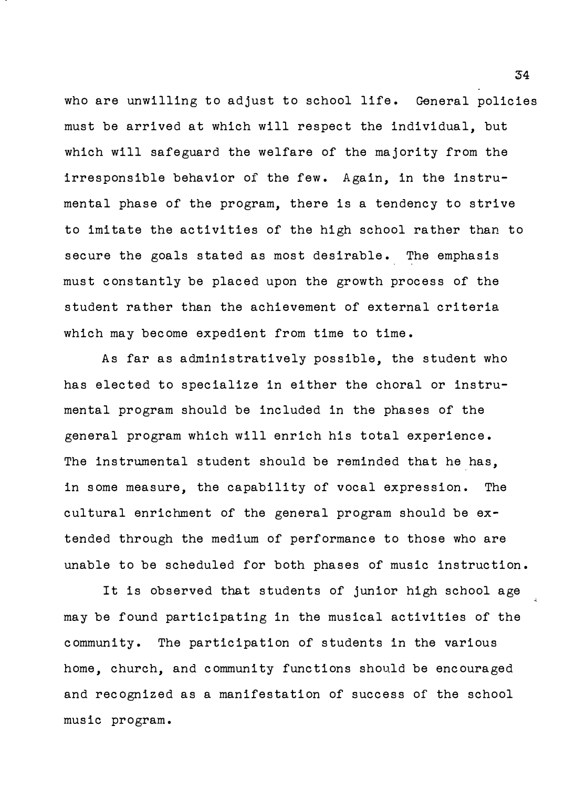who are unwilling to adjust to school life. General policies must be arrived at which will respect the individual, but which will safeguard the welfare of the majority from the irresponsible behavior of the few. Again, in the instrumental phase of the program, there is a tendency to strive to imitate the activities of the high school rather than to secure the goals stated as most desirable. The emphasis must constantly be placed upon the growth process of the student rather than the achievement of external criteria which may become expedient from time to time.

As far as administratively possible, the student who has elected to specialize in either the choral or instrumental program should be included in the phases of the general program which will enrich his total experience. The instrumental student should be reminded that he has, in some measure, the capability of vocal expression. The cultural enrichment of the general program should be extended through the medium of performance to those who are unable to be scheduled for both phases of music instruction.

It is observed that students of junior high school age may be found participating in the musical activities of the community. The participation of students in the various home, church, and community functions should be encouraged and recognized as a manifestation of success of the school music program.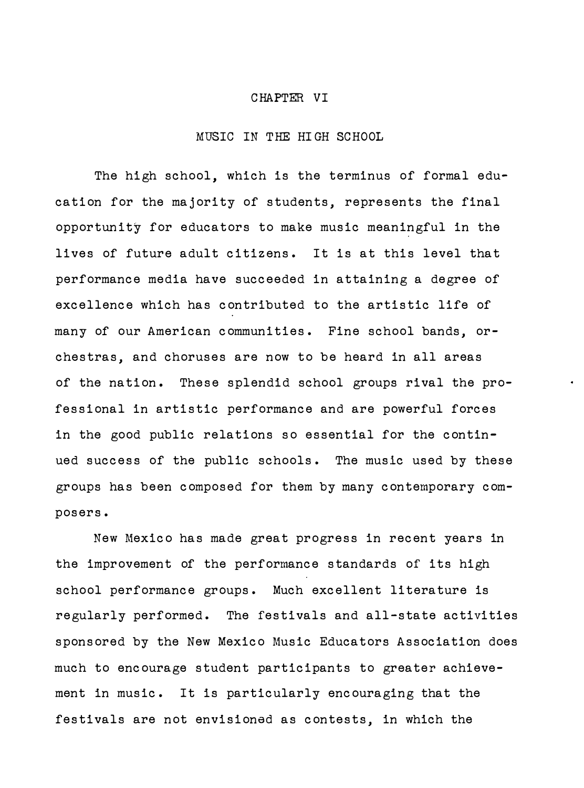#### CHAPTER VI

## MUSIC IN THE HIGH SCHOOL

The high school, which is the terminus of formal education for the majority of students, represents the final opportunity for educators to make music meaningful in the lives of future adult citizens. It is at this level that performance media have succeeded in attaining a degree of excellence which has contributed to the artistic life of many of our American communities. Fine school bands, orchestras, and choruses are now to be heard in all areas of the nation. These splendid school groups rival the professional in artistic performance and are powerful forces in the good public relations so essential for the continued success of the public schools. The music used by these groups has been composed for them by many contemporary composers.

New Mexico has made great progress in recent years in the improvement of the performance standards of its high school performance groups. Much excellent literature is regularly performed. The festivals and all-state activities sponsored by the New Mexico Music Educators Association does much to encourage student participants to greater achievement in music. It is particularly encouraging that the festivals are not envisioned as contests, in which the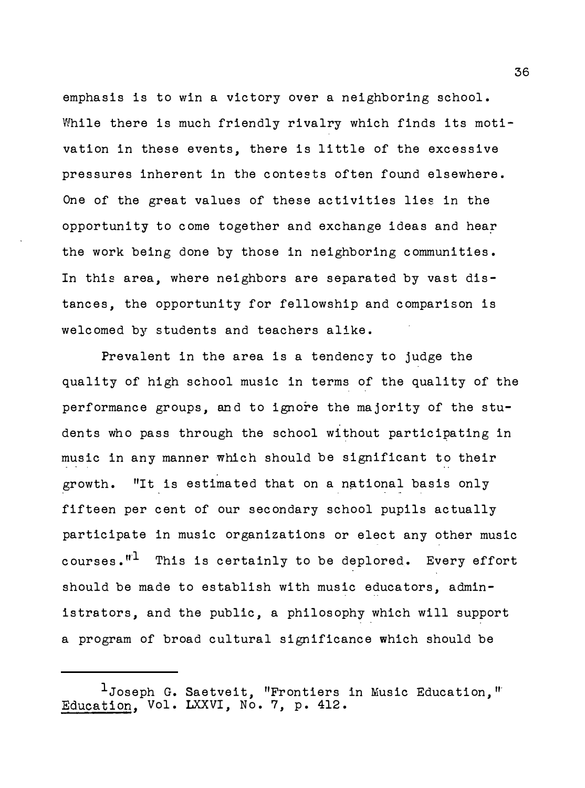emphasis is to win a victory over a neighboring school. While there is much friendly rivalry which finds its motivation in these events, there is little of the excessive pressures inherent in the contests often found elsewhere. One of the great values of these activities lies in the opportunity to come together and exchange ideas and hear the work being done by those in neighboring communities. In this area, where neighbors are separated by vast distances, the opportunity for fellowship and comparison is welcomed by students and teachers alike.

Prevalent in the area is a tendency to judge the quality of high school music in terms of the quality of the performance groups, and to ignore the majority of the students who pass through the school without partici�ating in music in any manner which should be significant to their growth. "It is estimated that on a national basis only fifteen per cent of our secondary school pupils actually participate in music organizations or elect any other music courses. $"$ <sup>1</sup> This is certainly to be deplored. Every effort should be made to establish with music educators, administrators, and the public, a philosophy which will support a program of broad cultural significance which should be

 $^{\text{\textsf{1}}}$ Joseph G. Saetveit, "Frontiers in Music Education," Education, Vol. LXXVI, No. 7, p. 412.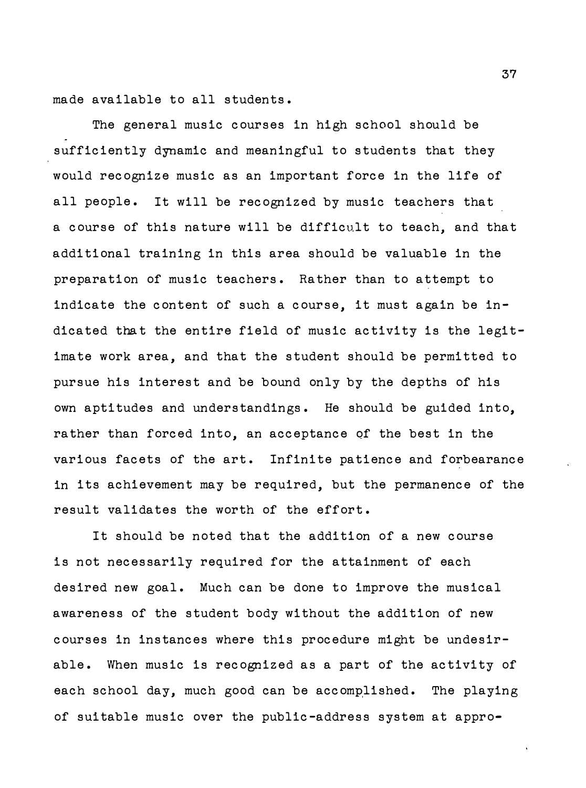made available to all students.

The general music courses in high school should be sufficiently dynamic and meaningful to students that they would recognize music as an important force in the life of all people. It will be recognized by music teachers that a course of this nature will be difficult to teach, and that additional training in this area should be valuable in the preparation of music teachers. Rather than to attempt to indicate the content of such a course, it must again be indicated that the entire field of music activity is the legitimate work area, and that the student should be permitted to pursue his interest and be bound only by the depths of his own aptitudes and understandings. He should be guided into, rather than forced into, an acceptance of the best in the various facets of the art. Infinite patience and forbearance in its achievement may be required, but the permanence of the result validates the worth of the effort.

It should be noted that the addition of a new course is not necessarily required for the attainment of each desired new goal. Much can be done to improve the musical awareness of the student body without the addition of new courses in instances where this procedure might be undesirable. When music is recognized as a part of the activity of each school day, much good can be accomplished. The playing of suitable music over the public-address system at appro-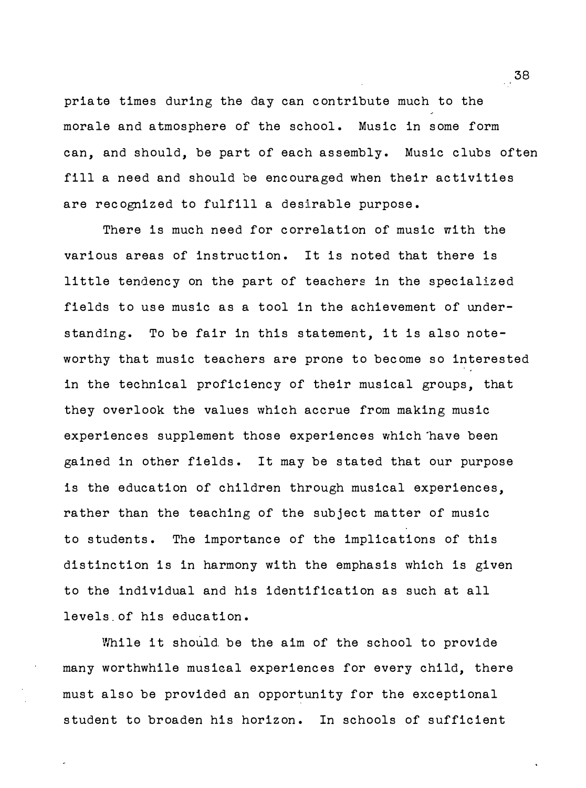priate times during the day can contribute much to the morale and atmosphere of the school. Music in some form can, and should, be part of each assembly. Music clubs often fill a need and should be encouraged when their activities are recognized to fulfill a desirable purpose.

There is much need for correlation of music with the various areas of instruction. It is noted that there is little tendency on the part of teachers in the specialized fields to use music as a tool in the achievement of understanding. To be fair in this statement, it is also noteworthy that music teachers are prone to become so interested in the technical proficiency of their musical groups, that they overlook the values which accrue from making music experiences supplement those experiences which "have been gained in other fields. It may be stated that our purpose is the education of children through musical experiences, rather than the teaching of the subject matter of music to students. The importance of the implications of this distinction is in harmony with the emphasis which is given to the individual and his identification as such at all levels . of his education.

While it should be the aim of the school to provide many worthwhile musical experiences for every child, there must also be provided an opportunity for the exceptional student to broaden his horizon. In schools of sufficient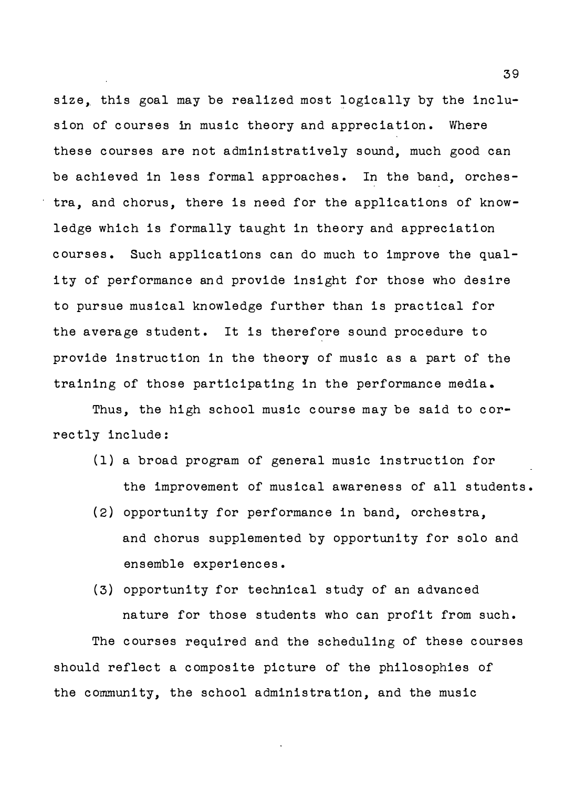size, this goal may be realized most logically by the inclusion of courses in music theory and appreciation. Where these courses are not administratively sound, much good can be achieved in less formal approaches. In the band, orchestra, and chorus, there is need for the applications of knowledge which is formally taught in theory and appreciation courses . Such applications can do much to improve the quality of performance and provide insight for those who desire to pursue musical knowledge further than is practical for the average student. It is therefore sound procedure to provide instruction in the theory of music as a part of the training of those participating in the performance media .

Thus, the high school music course may be said to correctly include :

- (1) a broad program of general music instruction for the improvement of musical awareness of all students .
- (2 ) opportunity for performance in band, orchestra, and chorus supplemented by opportunity for solo and ensemble experiences.
- ( 3) opportunity for technical study of an advanced nature for those students who can profit from such. The courses required and the scheduling of these courses should reflect a composite picture of the philosophies of the community, the school administration, and the music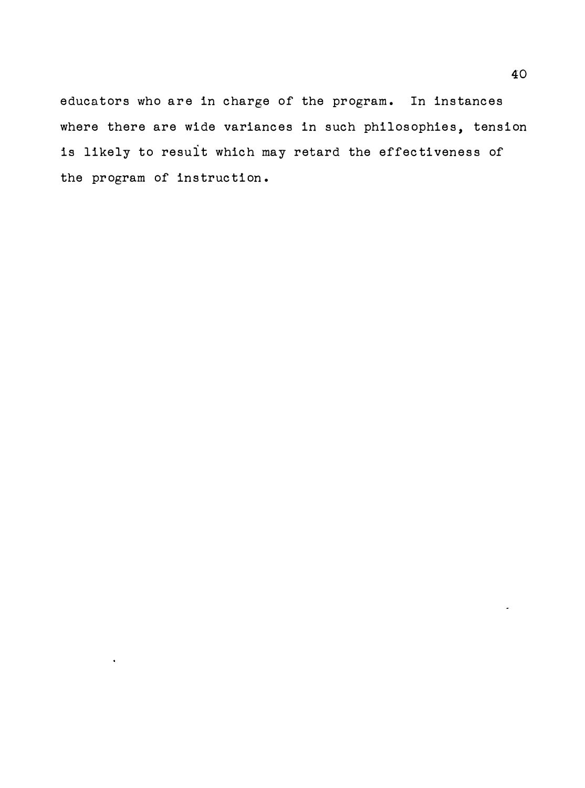educators who are in charge of the program. In instances where there are wide variances in such philosophies, tension is likely to result which may retard the effectiveness of the program of instruction .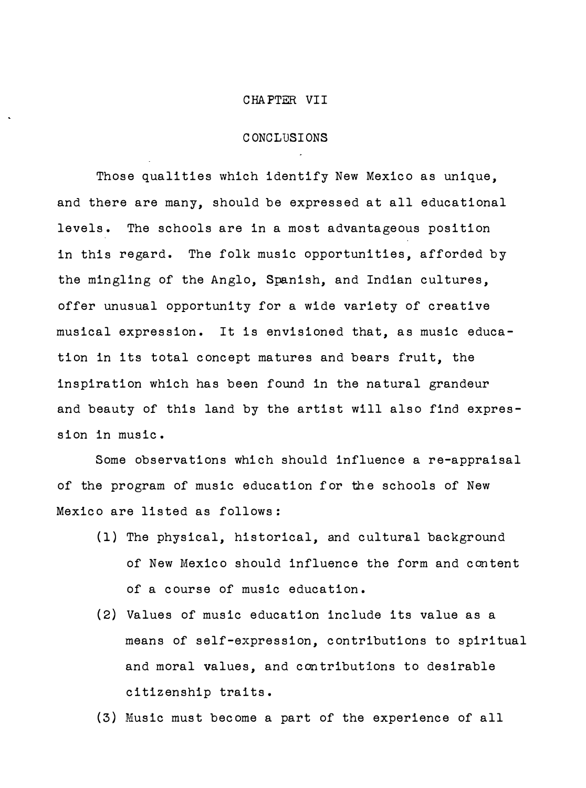#### CHAPTER VII

#### C ONO L USI ONS

Those qualities which identify New Mexico as unique, and there are many, should be expressed at all educational levels. The schools are in a most advantageous position in this regard. The folk music opportunities, afforded by the mingling of the Anglo, Spanish, and Indian cultures, offer unusual opportunity for a wide variety of creative musical expression. It is envisioned that, as music education in its total concept matures and bears fruit, the inspiration which has been found in the natural grandeur and beauty of this land by the artist will also find expression in music.

Some observations which should influence a re-appraisal of the program of music education for the schools of New Mexico are listed as follows :

- (1) The physical, historical, and cultural background of New Mexico should influence the form and content of a course of music education.
- (2) Values of music education include its value as a means of self-expression, contributions to spiritual and moral values, and contributions to desirable citizenship traits.
- (3) Music must become a part of the experience of all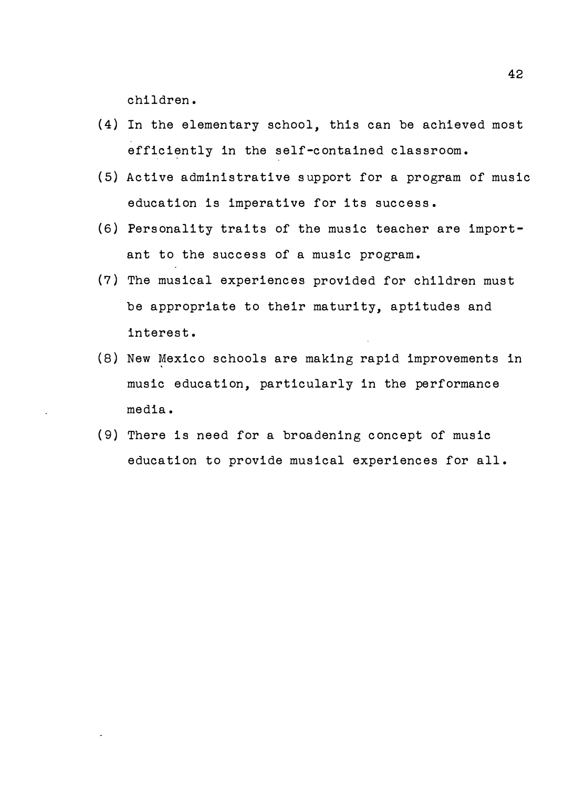children.

- (4) In the elementary school, this can be achieved most efficiently in the self-contained classroom.
- (5) Active administrative s upport for a program of music education is imperative for its success.
- (6 ) Personality traits of the music teacher are important to the success of a music program.
- (7 ) The musical experiences provided for children must be appropriate to their maturity, aptitudes and interest.
- (8) New Mexico schools are making rapid improvements in music education, particularly in the performance media.
- (9) There is need for a broadening concept of music education to provide musical experiences for all.